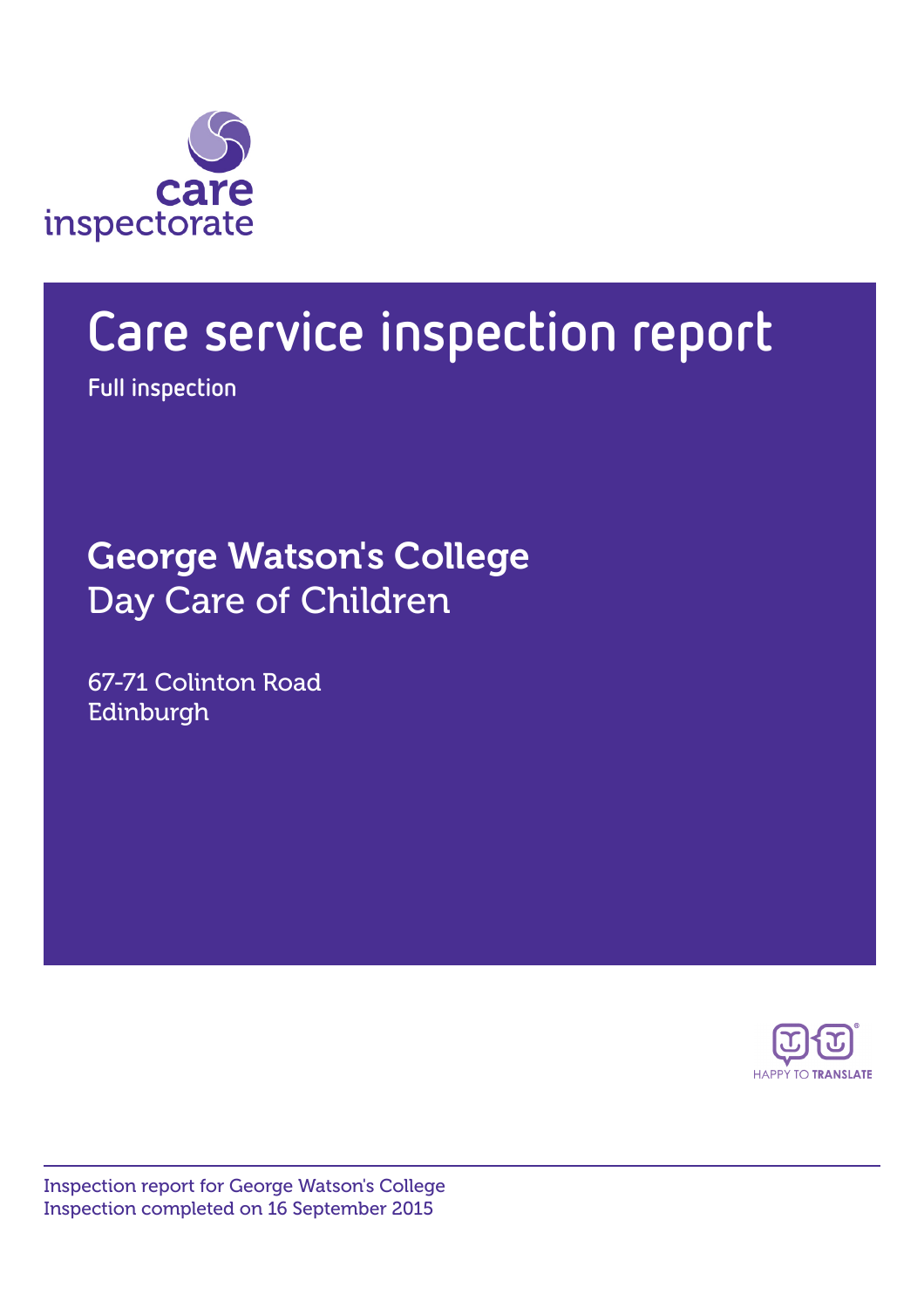

# Care service inspection report

Full inspection

George Watson's College Day Care of Children

67-71 Colinton Road Edinburgh



Inspection report for George Watson's College Inspection completed on 16 September 2015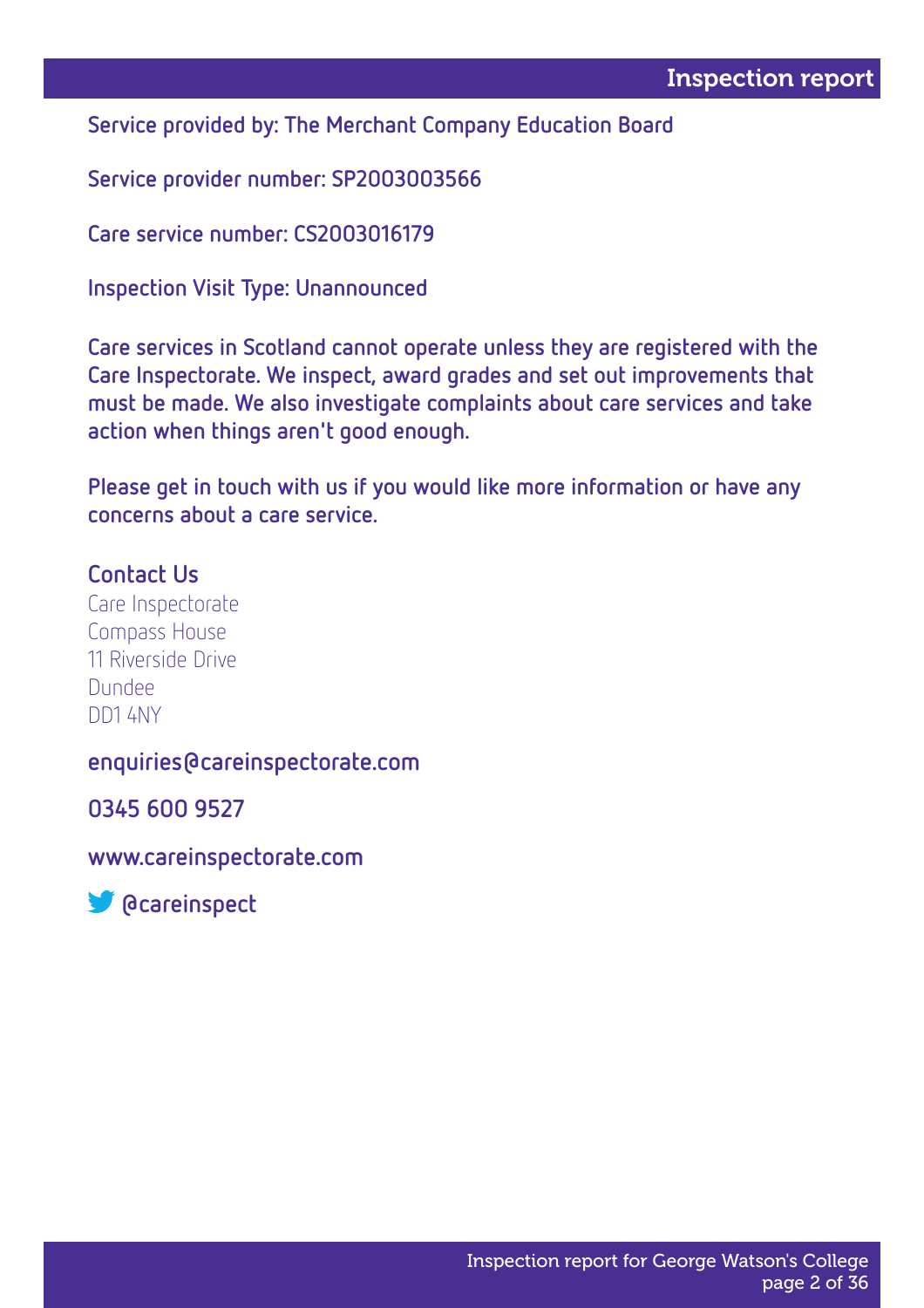Service provided by: The Merchant Company Education Board

Service provider number: SP2003003566

Care service number: CS2003016179

Inspection Visit Type: Unannounced

Care services in Scotland cannot operate unless they are registered with the Care Inspectorate. We inspect, award grades and set out improvements that must be made. We also investigate complaints about care services and take action when things aren't good enough.

Please get in touch with us if you would like more information or have any concerns about a care service.

#### Contact Us

Care Inspectorate Compass House 11 Riverside Drive Dundee DD1 4NY

#### enquiries@careinspectorate.com

0345 600 9527

www.careinspectorate.com

**S** @careinspect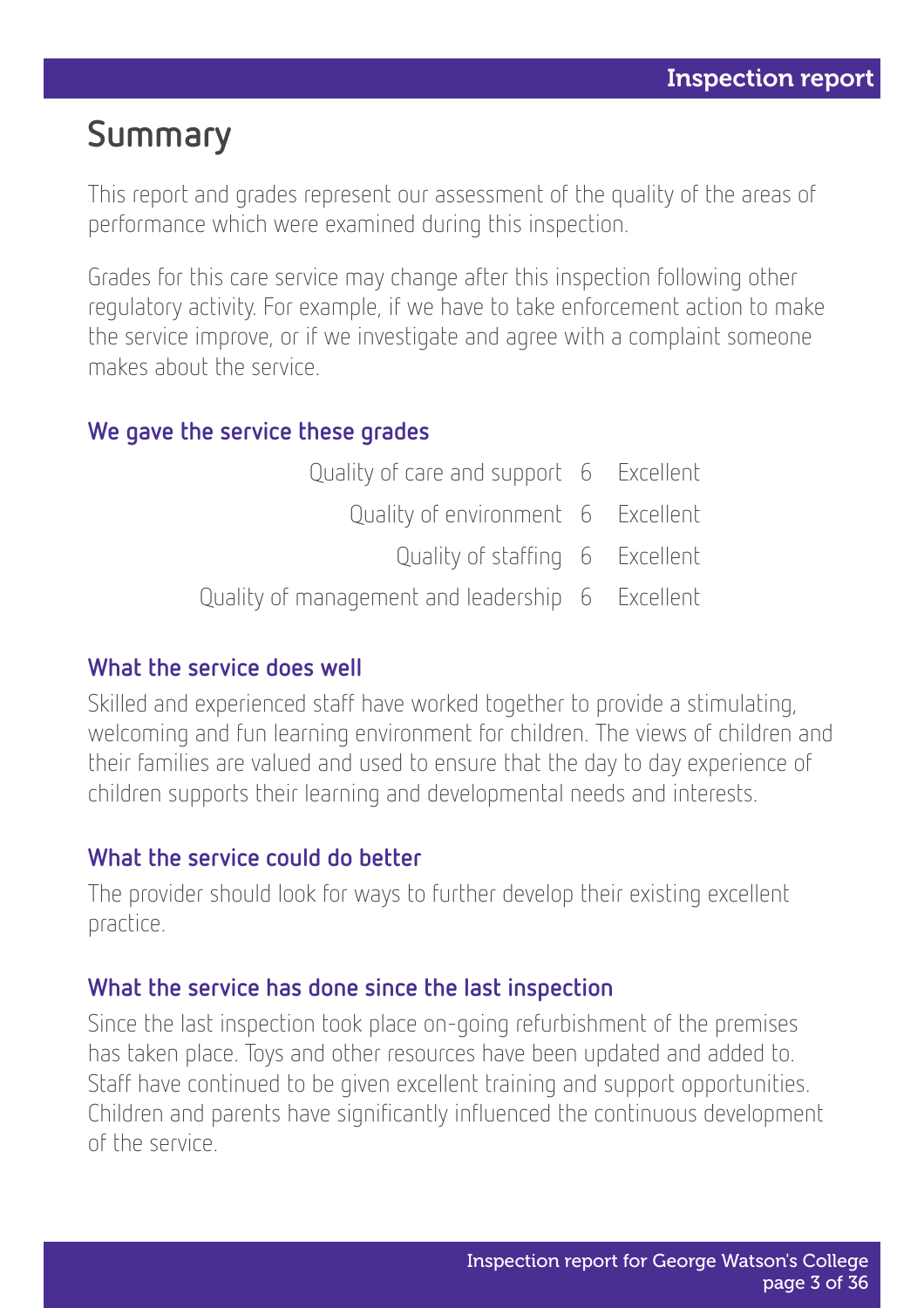## Summary

This report and grades represent our assessment of the quality of the areas of performance which were examined during this inspection.

Grades for this care service may change after this inspection following other regulatory activity. For example, if we have to take enforcement action to make the service improve, or if we investigate and agree with a complaint someone makes about the service.

#### We gave the service these grades

| Quality of care and support 6 Excellent          |  |  |
|--------------------------------------------------|--|--|
| Quality of environment 6 Excellent               |  |  |
| Quality of staffing 6 Excellent                  |  |  |
| Quality of management and leadership 6 Excellent |  |  |

#### What the service does well

Skilled and experienced staff have worked together to provide a stimulating, welcoming and fun learning environment for children. The views of children and their families are valued and used to ensure that the day to day experience of children supports their learning and developmental needs and interests.

#### What the service could do better

The provider should look for ways to further develop their existing excellent practice.

#### What the service has done since the last inspection

Since the last inspection took place on-going refurbishment of the premises has taken place. Toys and other resources have been updated and added to. Staff have continued to be given excellent training and support opportunities. Children and parents have significantly influenced the continuous development of the service.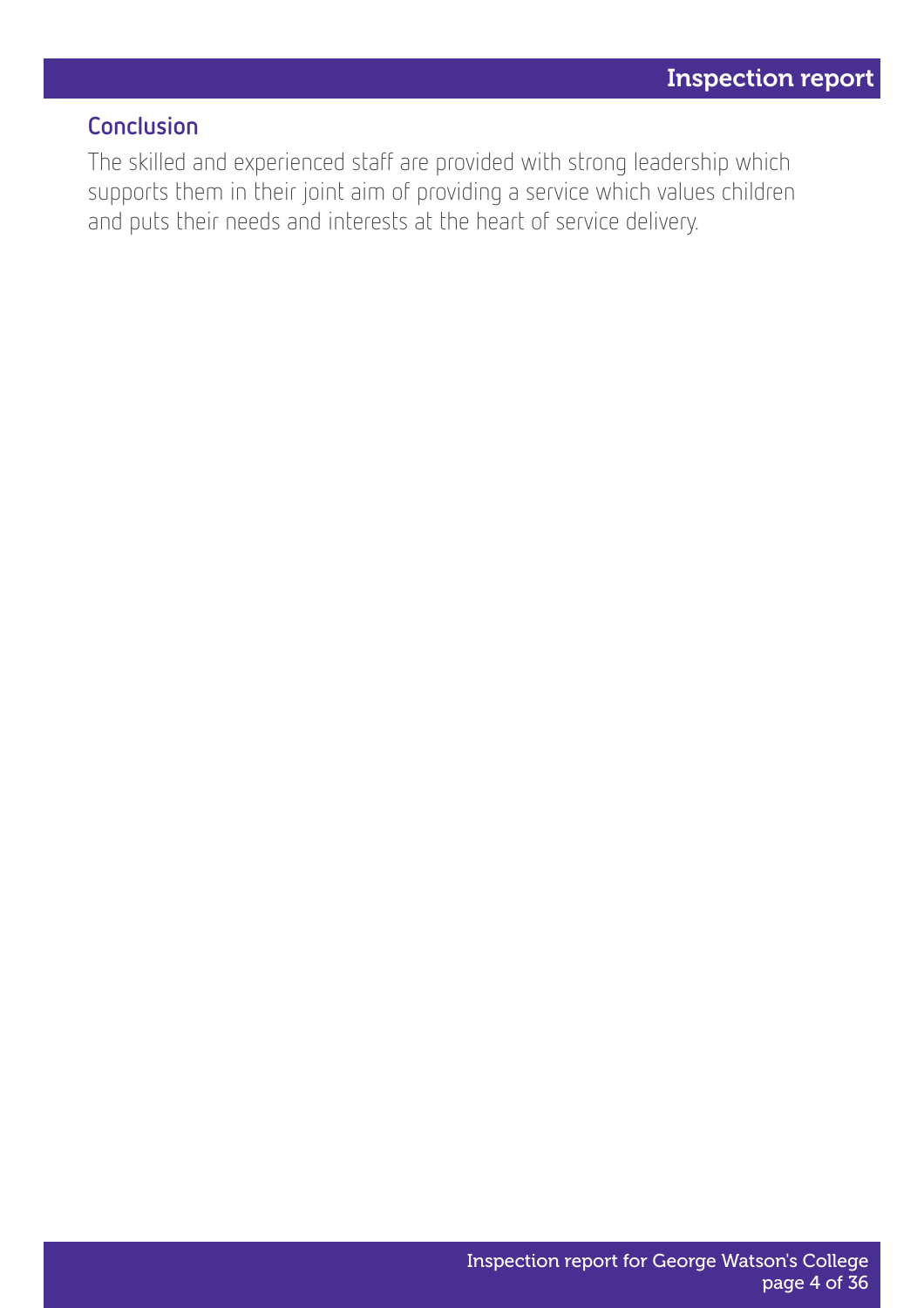#### Conclusion

The skilled and experienced staff are provided with strong leadership which supports them in their joint aim of providing a service which values children and puts their needs and interests at the heart of service delivery.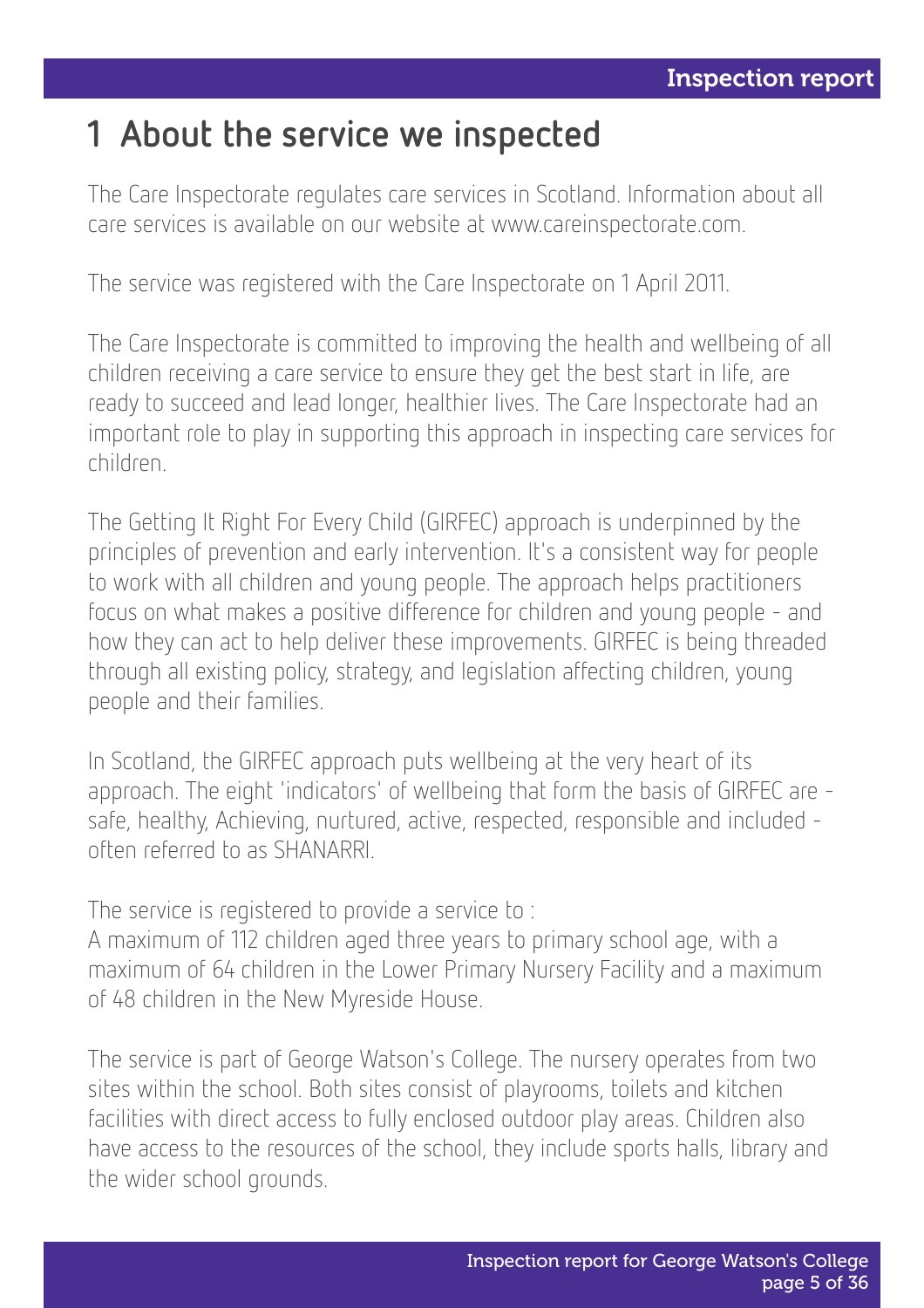### 1 About the service we inspected

The Care Inspectorate regulates care services in Scotland. Information about all care services is available on our website at www.careinspectorate.com.

The service was registered with the Care Inspectorate on 1 April 2011.

The Care Inspectorate is committed to improving the health and wellbeing of all children receiving a care service to ensure they get the best start in life, are ready to succeed and lead longer, healthier lives. The Care Inspectorate had an important role to play in supporting this approach in inspecting care services for children.

The Getting It Right For Every Child (GIRFEC) approach is underpinned by the principles of prevention and early intervention. It's a consistent way for people to work with all children and young people. The approach helps practitioners focus on what makes a positive difference for children and young people - and how they can act to help deliver these improvements. GIRFEC is being threaded through all existing policy, strategy, and legislation affecting children, young people and their families.

In Scotland, the GIRFEC approach puts wellbeing at the very heart of its approach. The eight 'indicators' of wellbeing that form the basis of GIRFEC are safe, healthy, Achieving, nurtured, active, respected, responsible and included often referred to as SHANARRI.

The service is registered to provide a service to :

A maximum of 112 children aged three years to primary school age, with a maximum of 64 children in the Lower Primary Nursery Facility and a maximum of 48 children in the New Myreside House.

The service is part of George Watson's College. The nursery operates from two sites within the school. Both sites consist of playrooms, toilets and kitchen facilities with direct access to fully enclosed outdoor play areas. Children also have access to the resources of the school, they include sports halls, library and the wider school grounds.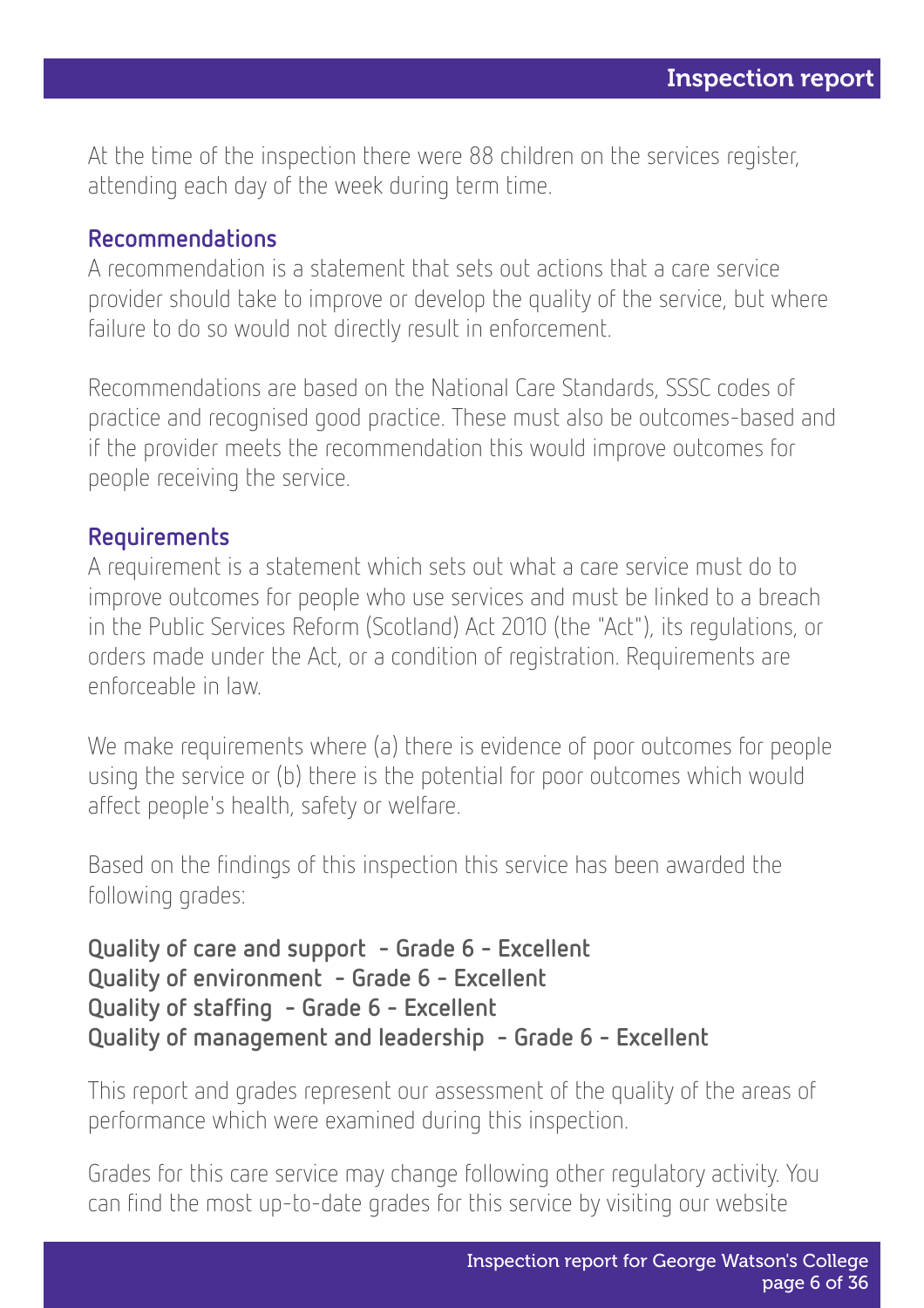At the time of the inspection there were 88 children on the services register, attending each day of the week during term time.

#### Recommendations

A recommendation is a statement that sets out actions that a care service provider should take to improve or develop the quality of the service, but where failure to do so would not directly result in enforcement.

Recommendations are based on the National Care Standards, SSSC codes of practice and recognised good practice. These must also be outcomes-based and if the provider meets the recommendation this would improve outcomes for people receiving the service.

#### **Requirements**

A requirement is a statement which sets out what a care service must do to improve outcomes for people who use services and must be linked to a breach in the Public Services Reform (Scotland) Act 2010 (the "Act"), its regulations, or orders made under the Act, or a condition of registration. Requirements are enforceable in law.

We make requirements where (a) there is evidence of poor outcomes for people using the service or (b) there is the potential for poor outcomes which would affect people's health, safety or welfare.

Based on the findings of this inspection this service has been awarded the following grades:

Quality of care and support - Grade 6 - Excellent Quality of environment - Grade 6 - Excellent Quality of staffing - Grade 6 - Excellent Quality of management and leadership - Grade 6 - Excellent

This report and grades represent our assessment of the quality of the areas of performance which were examined during this inspection.

Grades for this care service may change following other regulatory activity. You can find the most up-to-date grades for this service by visiting our website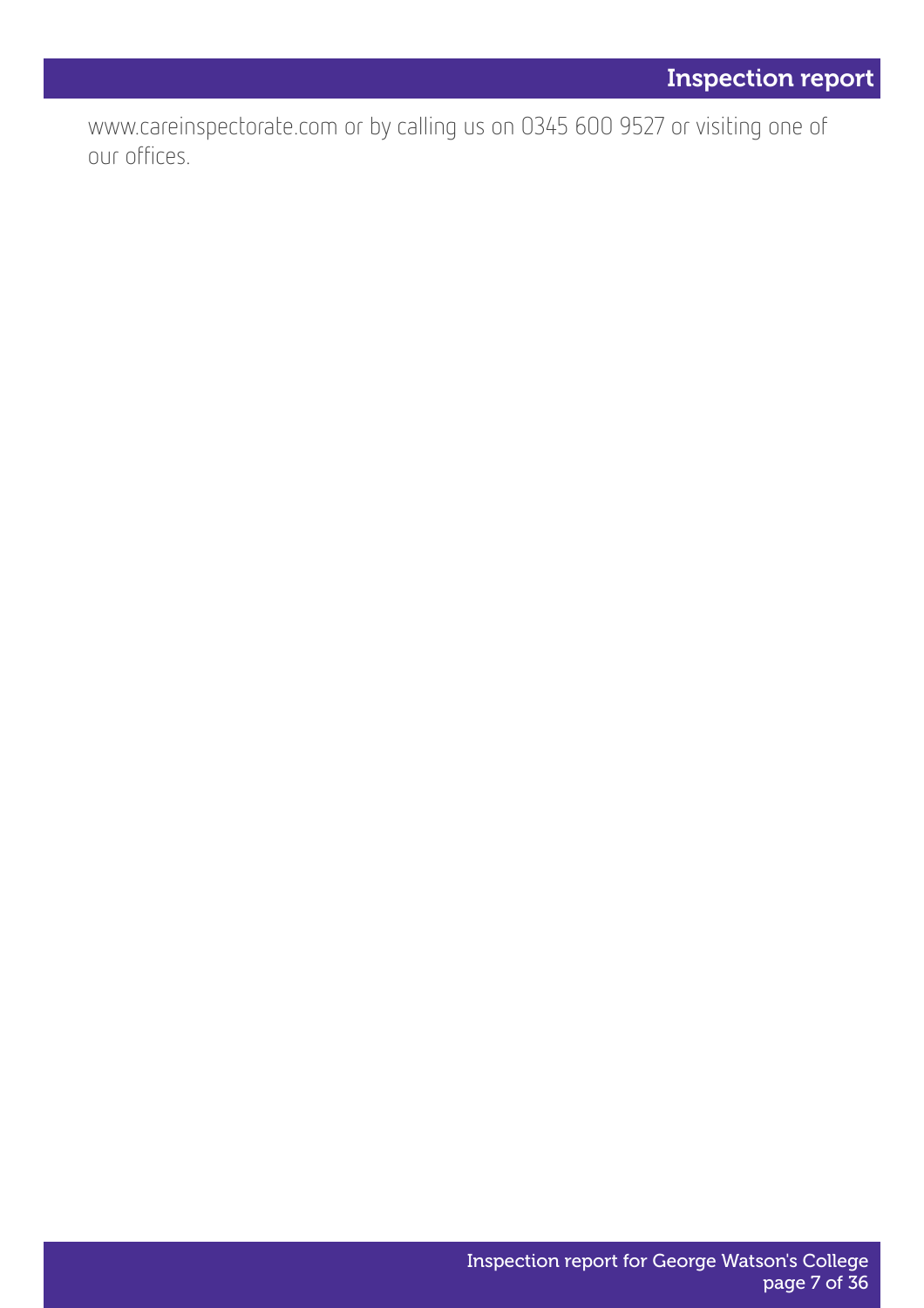www.careinspectorate.com or by calling us on 0345 600 9527 or visiting one of our offices.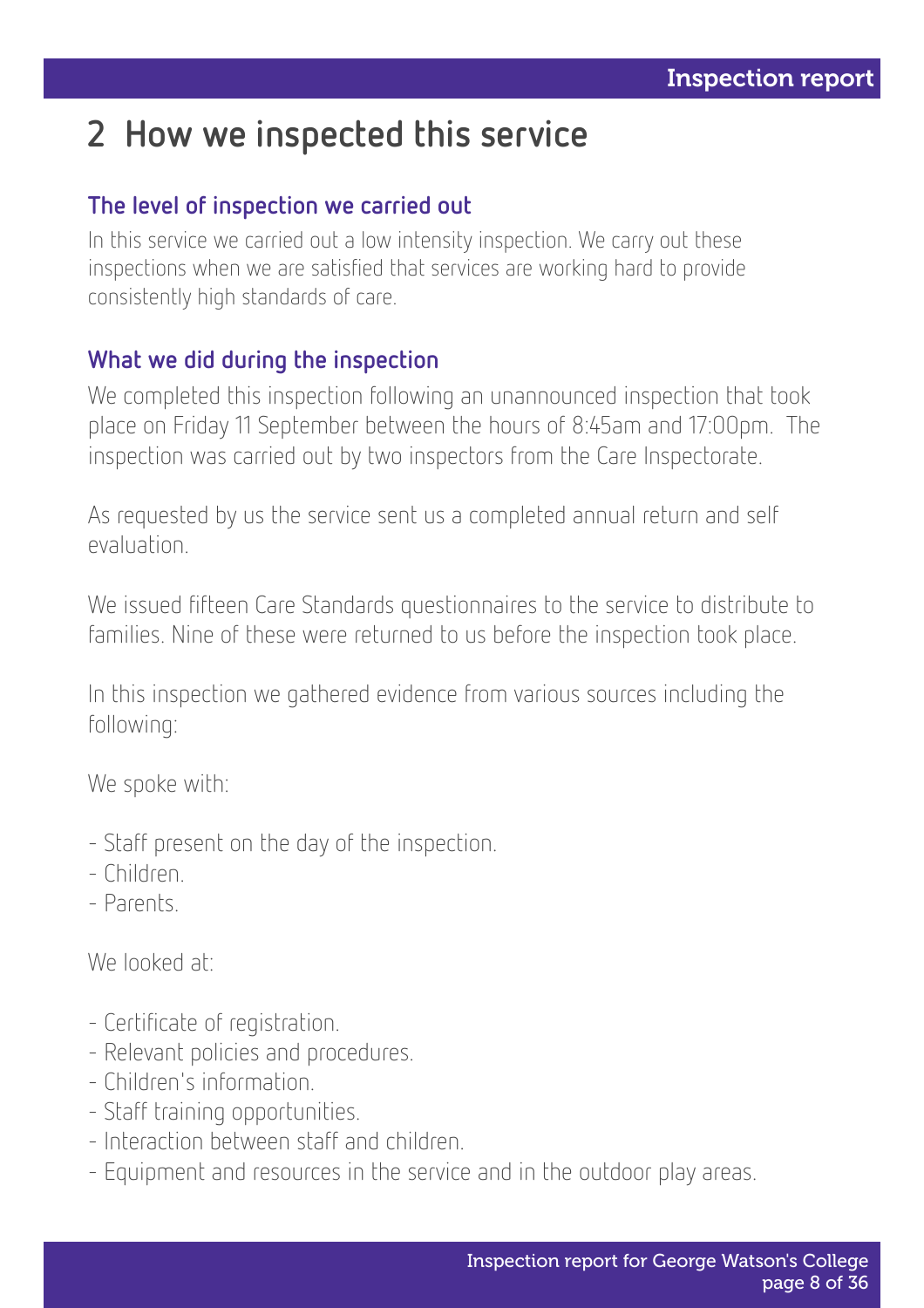# 2 How we inspected this service

#### The level of inspection we carried out

In this service we carried out a low intensity inspection. We carry out these inspections when we are satisfied that services are working hard to provide consistently high standards of care.

#### What we did during the inspection

We completed this inspection following an unannounced inspection that took place on Friday 11 September between the hours of 8:45am and 17:00pm. The inspection was carried out by two inspectors from the Care Inspectorate.

As requested by us the service sent us a completed annual return and self evaluation.

We issued fifteen Care Standards questionnaires to the service to distribute to families. Nine of these were returned to us before the inspection took place.

In this inspection we gathered evidence from various sources including the following:

We spoke with:

- Staff present on the day of the inspection.
- Children.
- Parents.

We looked at:

- Certificate of registration.
- Relevant policies and procedures.
- Children's information.
- Staff training opportunities.
- Interaction between staff and children.
- Equipment and resources in the service and in the outdoor play areas.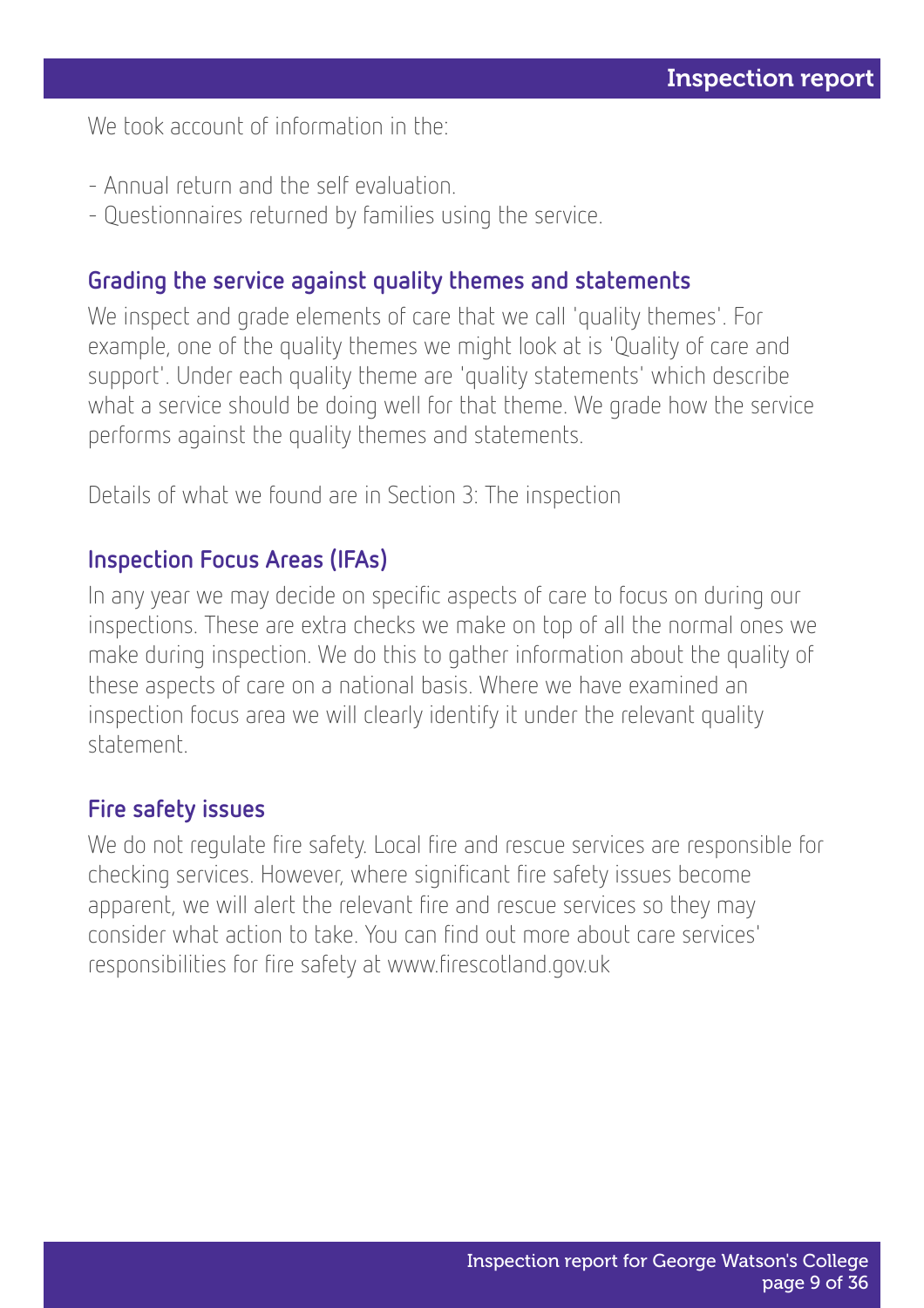We took account of information in the:

- Annual return and the self evaluation.
- Questionnaires returned by families using the service.

#### Grading the service against quality themes and statements

We inspect and grade elements of care that we call 'quality themes'. For example, one of the quality themes we might look at is 'Quality of care and support'. Under each quality theme are 'quality statements' which describe what a service should be doing well for that theme. We grade how the service performs against the quality themes and statements.

Details of what we found are in Section 3: The inspection

#### Inspection Focus Areas (IFAs)

In any year we may decide on specific aspects of care to focus on during our inspections. These are extra checks we make on top of all the normal ones we make during inspection. We do this to gather information about the quality of these aspects of care on a national basis. Where we have examined an inspection focus area we will clearly identify it under the relevant quality statement.

#### Fire safety issues

We do not regulate fire safety. Local fire and rescue services are responsible for checking services. However, where significant fire safety issues become apparent, we will alert the relevant fire and rescue services so they may consider what action to take. You can find out more about care services' responsibilities for fire safety at www.firescotland.gov.uk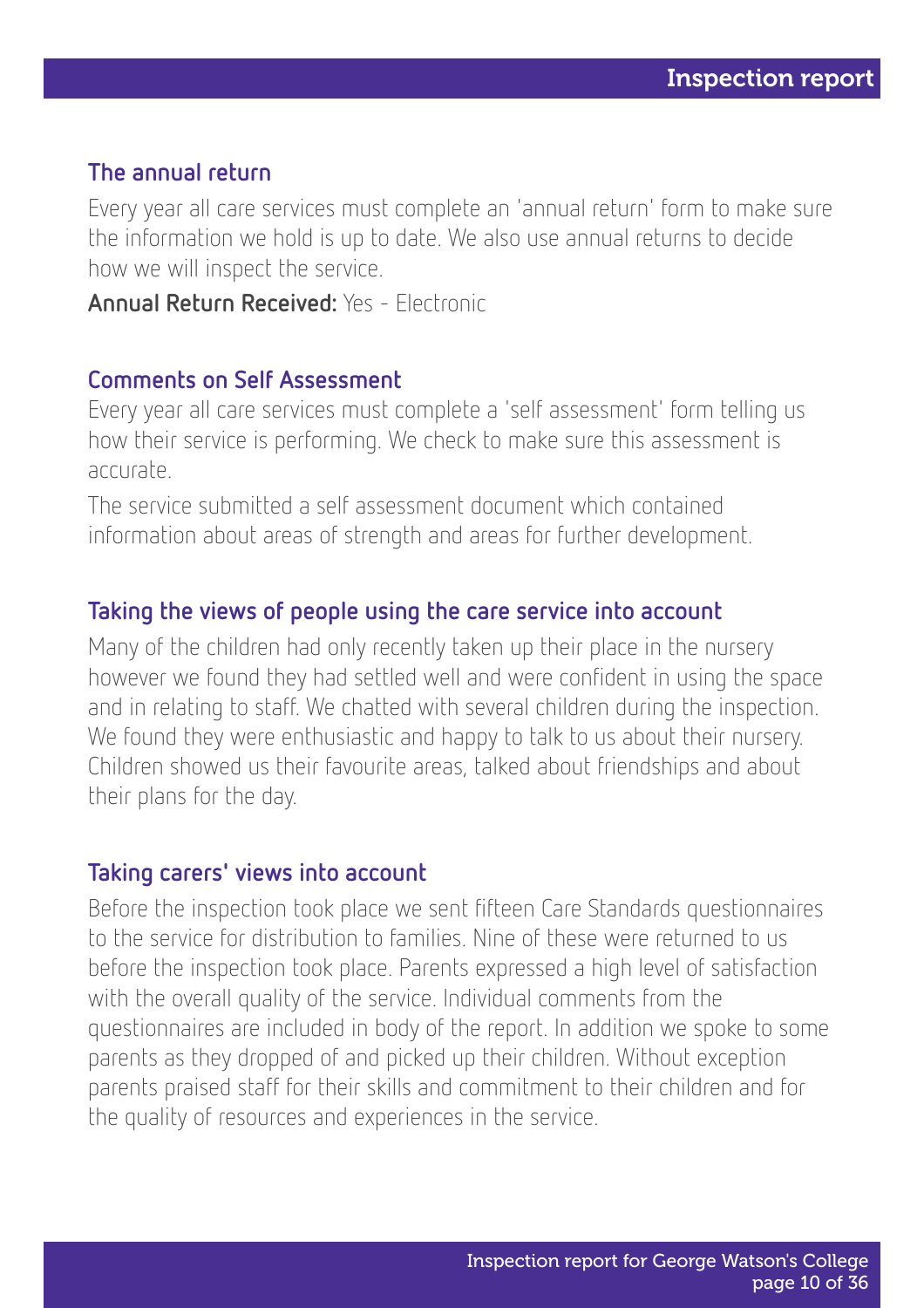#### The annual return

Every year all care services must complete an 'annual return' form to make sure the information we hold is up to date. We also use annual returns to decide how we will inspect the service.

Annual Return Received: Yes - Electronic

#### Comments on Self Assessment

Every year all care services must complete a 'self assessment' form telling us how their service is performing. We check to make sure this assessment is accurate.

The service submitted a self assessment document which contained information about areas of strength and areas for further development.

#### Taking the views of people using the care service into account

Many of the children had only recently taken up their place in the nursery however we found they had settled well and were confident in using the space and in relating to staff. We chatted with several children during the inspection. We found they were enthusiastic and happy to talk to us about their nursery. Children showed us their favourite areas, talked about friendships and about their plans for the day.

#### Taking carers' views into account

Before the inspection took place we sent fifteen Care Standards questionnaires to the service for distribution to families. Nine of these were returned to us before the inspection took place. Parents expressed a high level of satisfaction with the overall quality of the service. Individual comments from the questionnaires are included in body of the report. In addition we spoke to some parents as they dropped of and picked up their children. Without exception parents praised staff for their skills and commitment to their children and for the quality of resources and experiences in the service.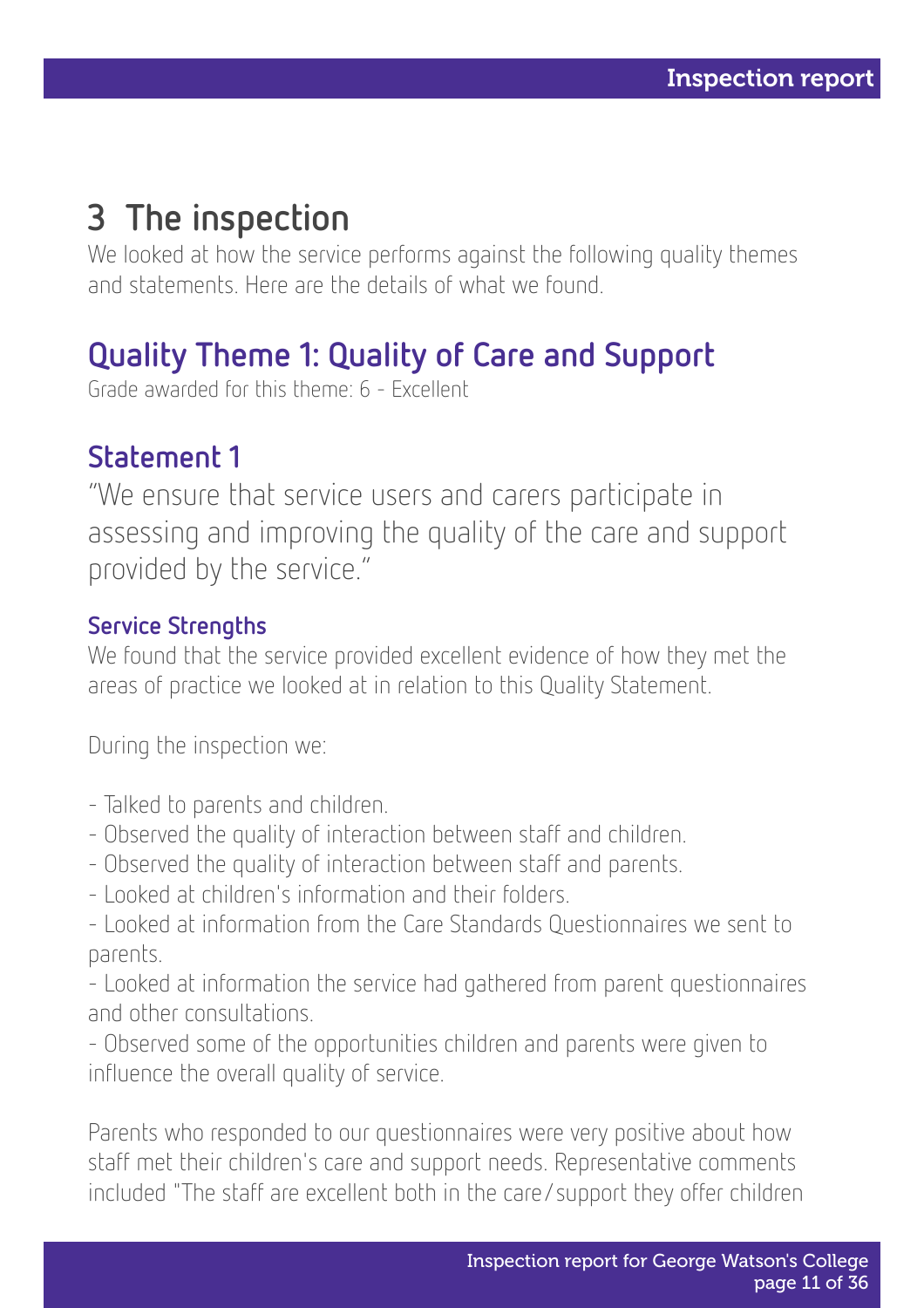# 3 The inspection

We looked at how the service performs against the following quality themes and statements. Here are the details of what we found.

### Quality Theme 1: Quality of Care and Support

Grade awarded for this theme: 6 - Excellent

### Statement 1

"We ensure that service users and carers participate in assessing and improving the quality of the care and support provided by the service."

#### Service Strengths

We found that the service provided excellent evidence of how they met the areas of practice we looked at in relation to this Quality Statement.

During the inspection we:

- Talked to parents and children.
- Observed the quality of interaction between staff and children.
- Observed the quality of interaction between staff and parents.
- Looked at children's information and their folders.

- Looked at information from the Care Standards Questionnaires we sent to parents.

- Looked at information the service had gathered from parent questionnaires and other consultations.

- Observed some of the opportunities children and parents were given to influence the overall quality of service.

Parents who responded to our questionnaires were very positive about how staff met their children's care and support needs. Representative comments included "The staff are excellent both in the care/support they offer children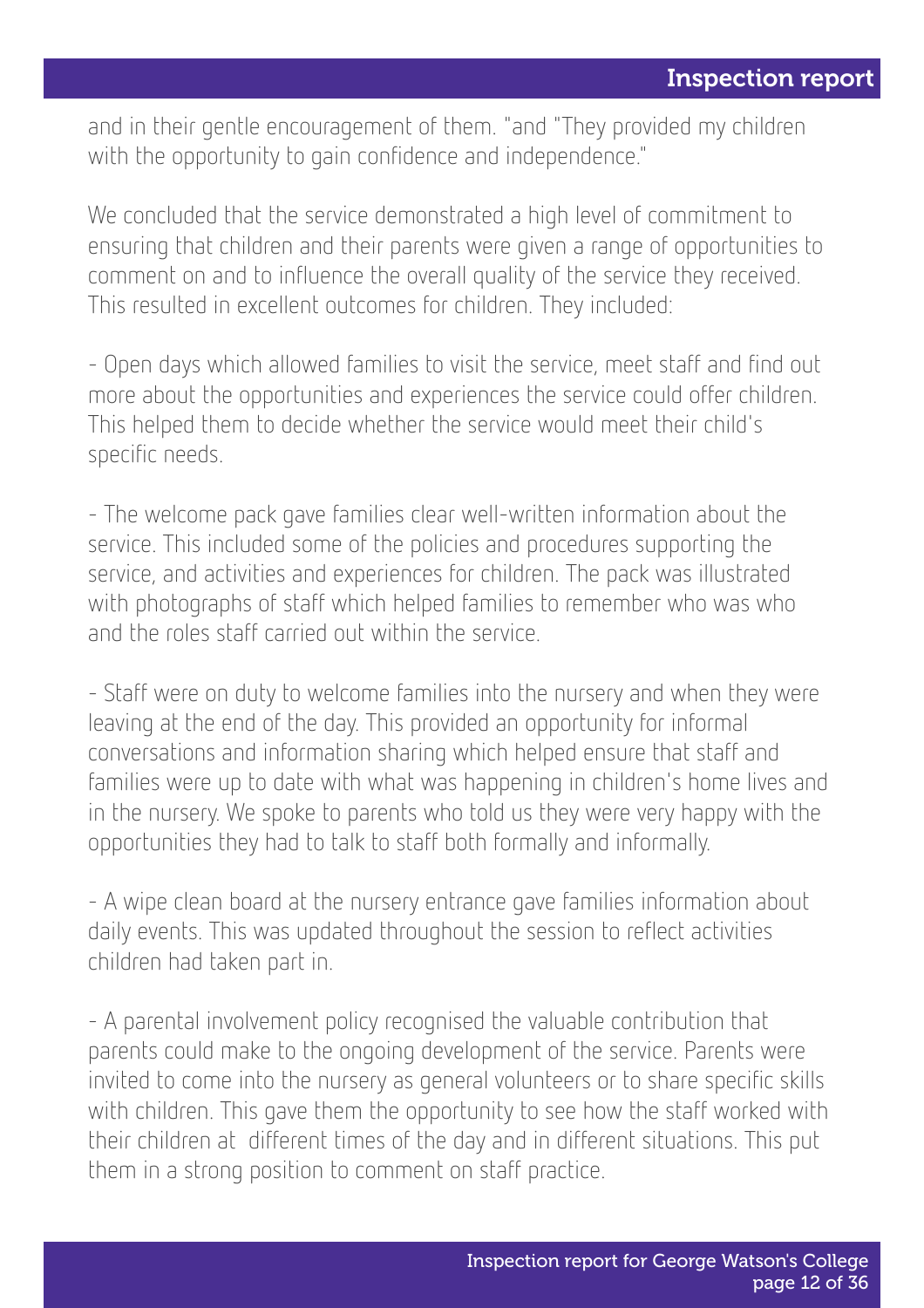and in their gentle encouragement of them. "and "They provided my children with the opportunity to gain confidence and independence."

We concluded that the service demonstrated a high level of commitment to ensuring that children and their parents were given a range of opportunities to comment on and to influence the overall quality of the service they received. This resulted in excellent outcomes for children. They included:

- Open days which allowed families to visit the service, meet staff and find out more about the opportunities and experiences the service could offer children. This helped them to decide whether the service would meet their child's specific needs.

- The welcome pack gave families clear well-written information about the service. This included some of the policies and procedures supporting the service, and activities and experiences for children. The pack was illustrated with photographs of staff which helped families to remember who was who and the roles staff carried out within the service.

- Staff were on duty to welcome families into the nursery and when they were leaving at the end of the day. This provided an opportunity for informal conversations and information sharing which helped ensure that staff and families were up to date with what was happening in children's home lives and in the nursery. We spoke to parents who told us they were very happy with the opportunities they had to talk to staff both formally and informally.

- A wipe clean board at the nursery entrance gave families information about daily events. This was updated throughout the session to reflect activities children had taken part in.

- A parental involvement policy recognised the valuable contribution that parents could make to the ongoing development of the service. Parents were invited to come into the nursery as general volunteers or to share specific skills with children. This gave them the opportunity to see how the staff worked with their children at different times of the day and in different situations. This put them in a strong position to comment on staff practice.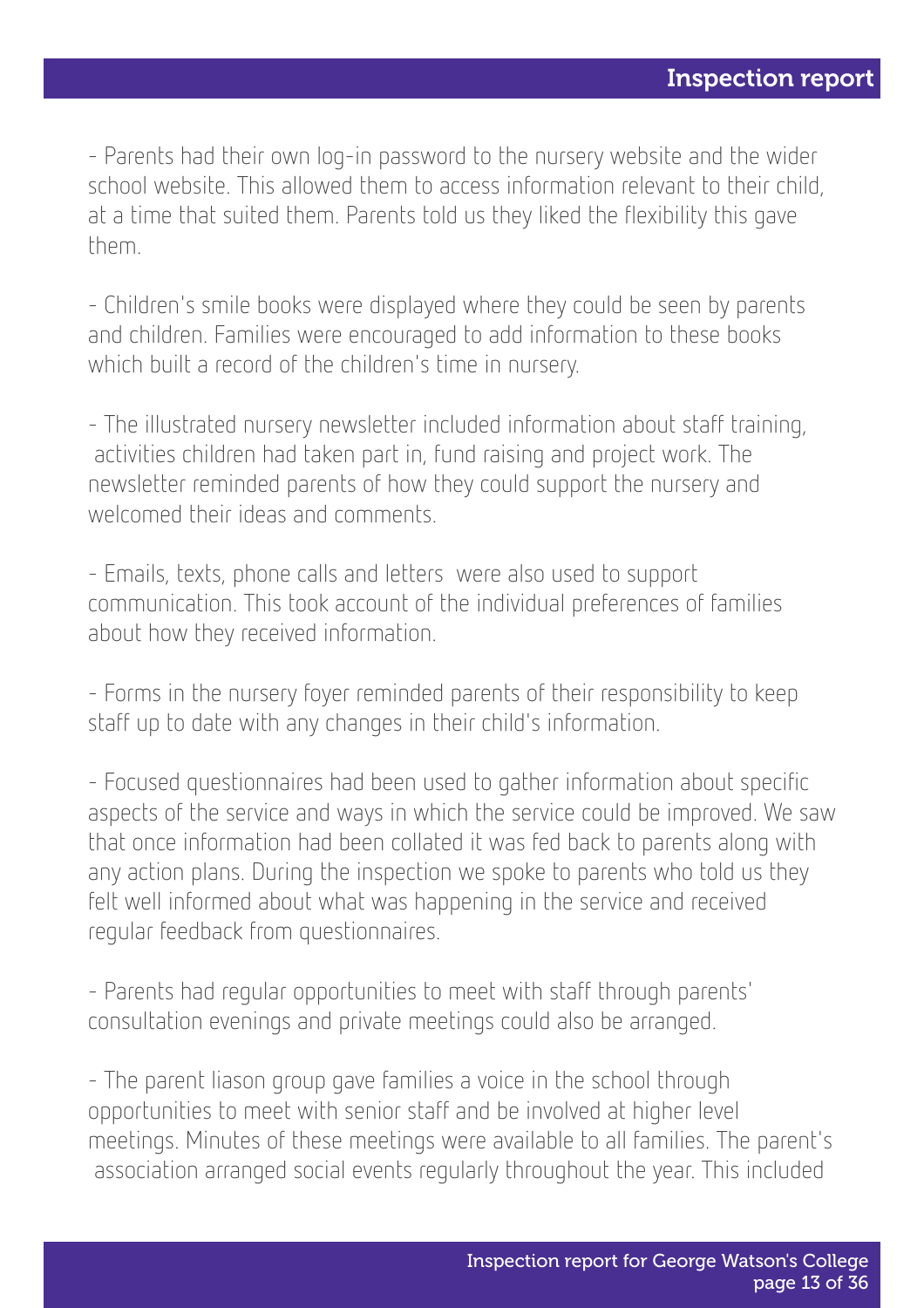- Parents had their own log-in password to the nursery website and the wider school website. This allowed them to access information relevant to their child, at a time that suited them. Parents told us they liked the flexibility this gave them.

- Children's smile books were displayed where they could be seen by parents and children. Families were encouraged to add information to these books which built a record of the children's time in nursery.

- The illustrated nursery newsletter included information about staff training, activities children had taken part in, fund raising and project work. The newsletter reminded parents of how they could support the nursery and welcomed their ideas and comments.

- Emails, texts, phone calls and letters were also used to support communication. This took account of the individual preferences of families about how they received information.

- Forms in the nursery foyer reminded parents of their responsibility to keep staff up to date with any changes in their child's information.

- Focused questionnaires had been used to gather information about specific aspects of the service and ways in which the service could be improved. We saw that once information had been collated it was fed back to parents along with any action plans. During the inspection we spoke to parents who told us they felt well informed about what was happening in the service and received regular feedback from questionnaires.

- Parents had regular opportunities to meet with staff through parents' consultation evenings and private meetings could also be arranged.

- The parent liason group gave families a voice in the school through opportunities to meet with senior staff and be involved at higher level meetings. Minutes of these meetings were available to all families. The parent's association arranged social events regularly throughout the year. This included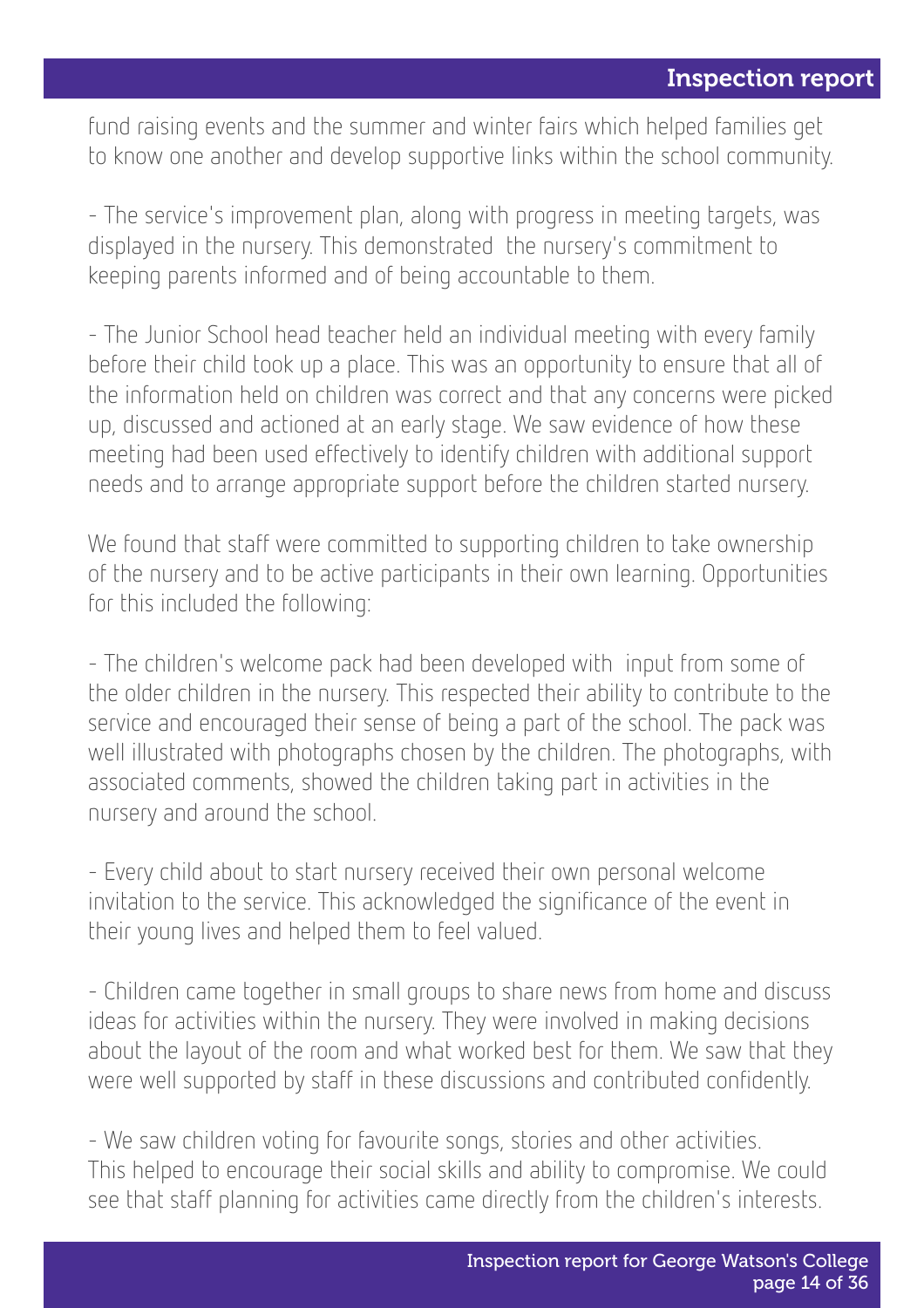fund raising events and the summer and winter fairs which helped families get to know one another and develop supportive links within the school community.

- The service's improvement plan, along with progress in meeting targets, was displayed in the nursery. This demonstrated the nursery's commitment to keeping parents informed and of being accountable to them.

- The Junior School head teacher held an individual meeting with every family before their child took up a place. This was an opportunity to ensure that all of the information held on children was correct and that any concerns were picked up, discussed and actioned at an early stage. We saw evidence of how these meeting had been used effectively to identify children with additional support needs and to arrange appropriate support before the children started nursery.

We found that staff were committed to supporting children to take ownership of the nursery and to be active participants in their own learning. Opportunities for this included the following:

- The children's welcome pack had been developed with input from some of the older children in the nursery. This respected their ability to contribute to the service and encouraged their sense of being a part of the school. The pack was well illustrated with photographs chosen by the children. The photographs, with associated comments, showed the children taking part in activities in the nursery and around the school.

- Every child about to start nursery received their own personal welcome invitation to the service. This acknowledged the significance of the event in their young lives and helped them to feel valued.

- Children came together in small groups to share news from home and discuss ideas for activities within the nursery. They were involved in making decisions about the layout of the room and what worked best for them. We saw that they were well supported by staff in these discussions and contributed confidently.

- We saw children voting for favourite songs, stories and other activities. This helped to encourage their social skills and ability to compromise. We could see that staff planning for activities came directly from the children's interests.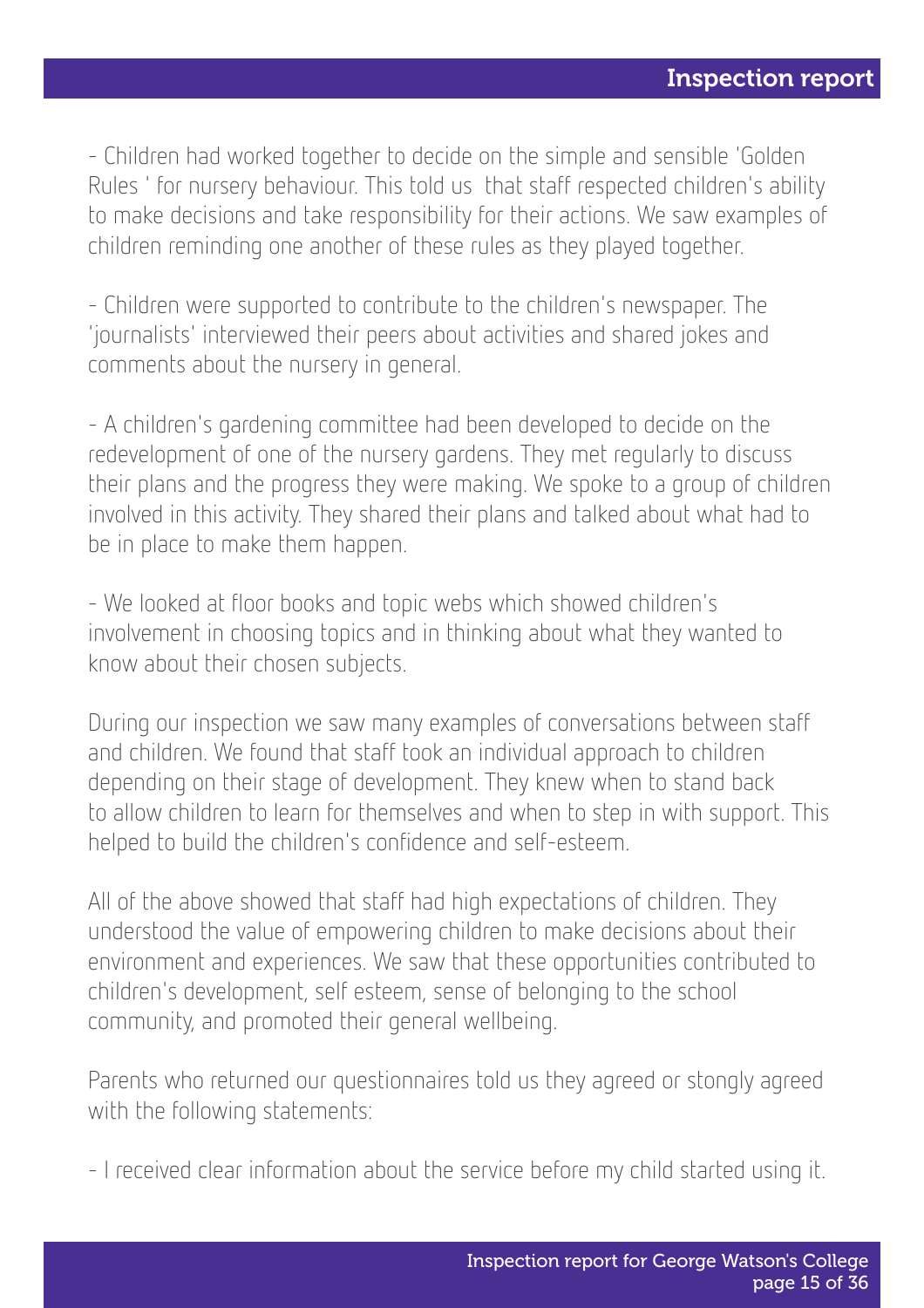- Children had worked together to decide on the simple and sensible 'Golden Rules ' for nursery behaviour. This told us that staff respected children's ability to make decisions and take responsibility for their actions. We saw examples of children reminding one another of these rules as they played together.

- Children were supported to contribute to the children's newspaper. The 'journalists' interviewed their peers about activities and shared jokes and comments about the nursery in general.

- A children's gardening committee had been developed to decide on the redevelopment of one of the nursery gardens. They met regularly to discuss their plans and the progress they were making. We spoke to a group of children involved in this activity. They shared their plans and talked about what had to be in place to make them happen.

- We looked at floor books and topic webs which showed children's involvement in choosing topics and in thinking about what they wanted to know about their chosen subjects.

During our inspection we saw many examples of conversations between staff and children. We found that staff took an individual approach to children depending on their stage of development. They knew when to stand back to allow children to learn for themselves and when to step in with support. This helped to build the children's confidence and self-esteem.

All of the above showed that staff had high expectations of children. They understood the value of empowering children to make decisions about their environment and experiences. We saw that these opportunities contributed to children's development, self esteem, sense of belonging to the school community, and promoted their general wellbeing.

Parents who returned our questionnaires told us they agreed or stongly agreed with the following statements:

- I received clear information about the service before my child started using it.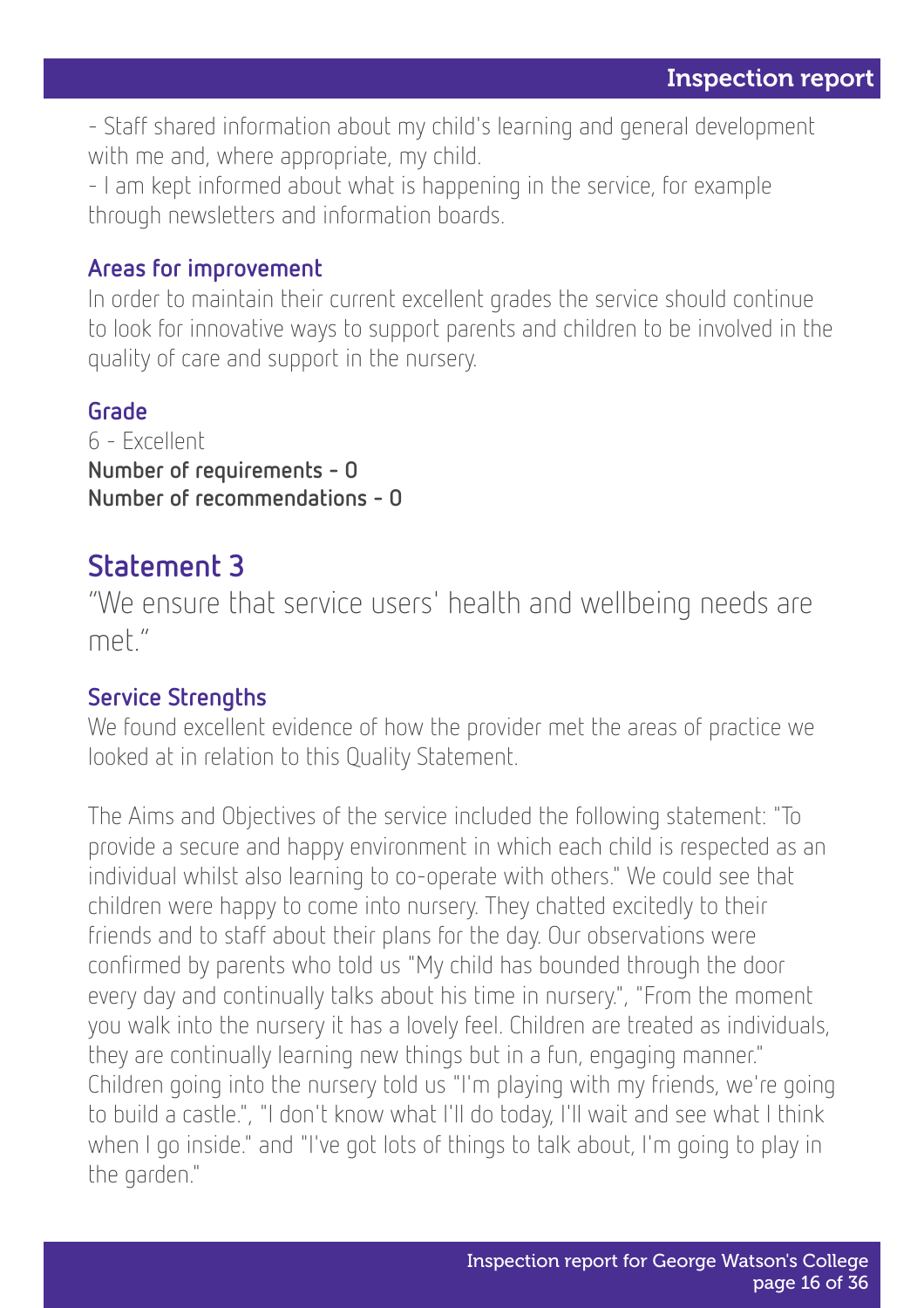- Staff shared information about my child's learning and general development with me and, where appropriate, my child.

- I am kept informed about what is happening in the service, for example through newsletters and information boards.

#### Areas for improvement

In order to maintain their current excellent grades the service should continue to look for innovative ways to support parents and children to be involved in the quality of care and support in the nursery.

#### Grade

6 - Excellent Number of requirements - 0 Number of recommendations - 0

### Statement 3

"We ensure that service users' health and wellbeing needs are met."

#### Service Strengths

We found excellent evidence of how the provider met the areas of practice we looked at in relation to this Quality Statement.

The Aims and Objectives of the service included the following statement: "To provide a secure and happy environment in which each child is respected as an individual whilst also learning to co-operate with others." We could see that children were happy to come into nursery. They chatted excitedly to their friends and to staff about their plans for the day. Our observations were confirmed by parents who told us "My child has bounded through the door every day and continually talks about his time in nursery.", "From the moment you walk into the nursery it has a lovely feel. Children are treated as individuals, they are continually learning new things but in a fun, engaging manner." Children going into the nursery told us "I'm playing with my friends, we're going to build a castle.", "I don't know what I'll do today, I'll wait and see what I think when I go inside." and "I've got lots of things to talk about, I'm going to play in the garden."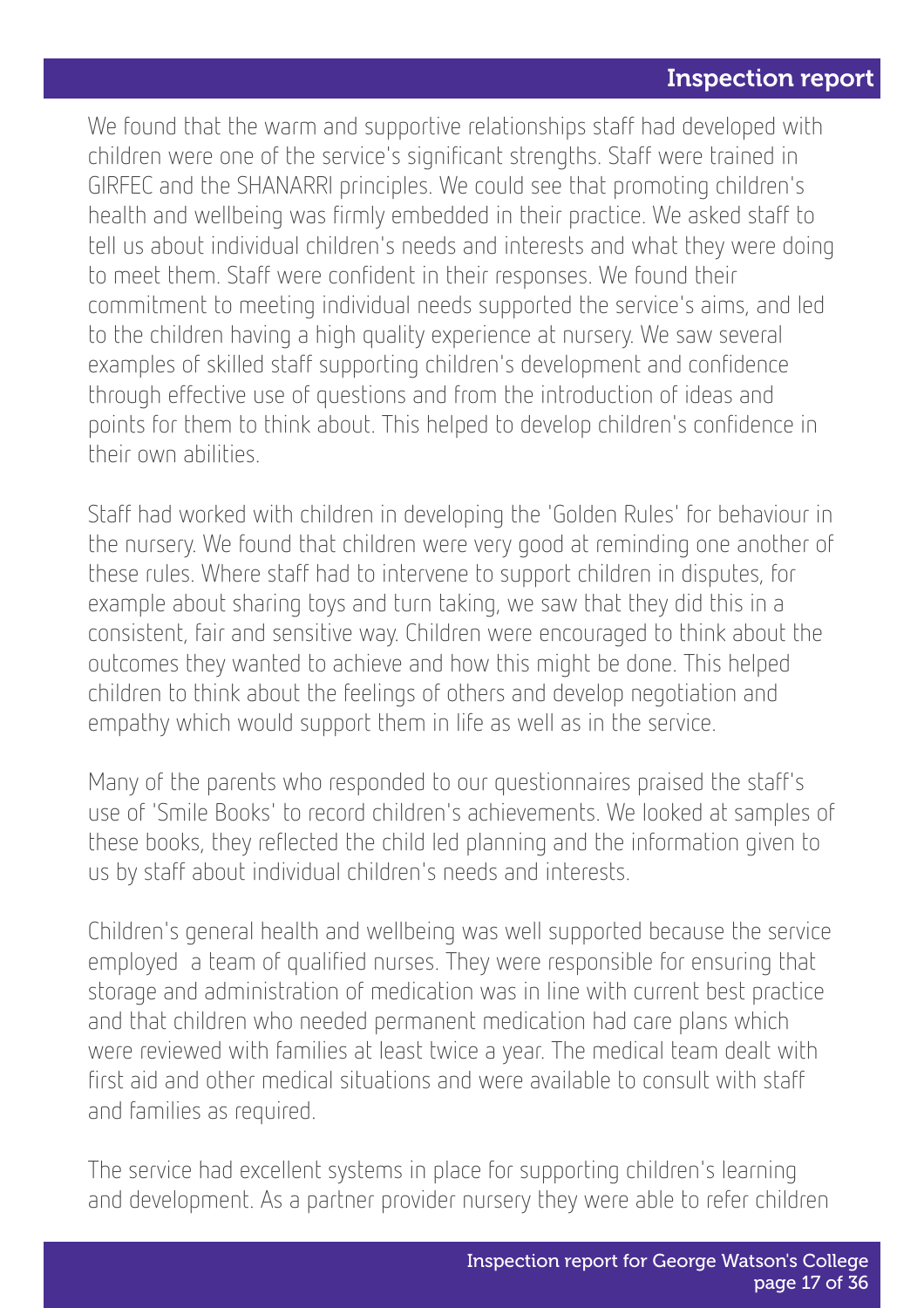We found that the warm and supportive relationships staff had developed with children were one of the service's significant strengths. Staff were trained in GIRFEC and the SHANARRI principles. We could see that promoting children's health and wellbeing was firmly embedded in their practice. We asked staff to tell us about individual children's needs and interests and what they were doing to meet them. Staff were confident in their responses. We found their commitment to meeting individual needs supported the service's aims, and led to the children having a high quality experience at nursery. We saw several examples of skilled staff supporting children's development and confidence through effective use of questions and from the introduction of ideas and points for them to think about. This helped to develop children's confidence in their own abilities.

Staff had worked with children in developing the 'Golden Rules' for behaviour in the nursery. We found that children were very good at reminding one another of these rules. Where staff had to intervene to support children in disputes, for example about sharing toys and turn taking, we saw that they did this in a consistent, fair and sensitive way. Children were encouraged to think about the outcomes they wanted to achieve and how this might be done. This helped children to think about the feelings of others and develop negotiation and empathy which would support them in life as well as in the service.

Many of the parents who responded to our questionnaires praised the staff's use of 'Smile Books' to record children's achievements. We looked at samples of these books, they reflected the child led planning and the information given to us by staff about individual children's needs and interests.

Children's general health and wellbeing was well supported because the service employed a team of qualified nurses. They were responsible for ensuring that storage and administration of medication was in line with current best practice and that children who needed permanent medication had care plans which were reviewed with families at least twice a year. The medical team dealt with first aid and other medical situations and were available to consult with staff and families as required.

The service had excellent systems in place for supporting children's learning and development. As a partner provider nursery they were able to refer children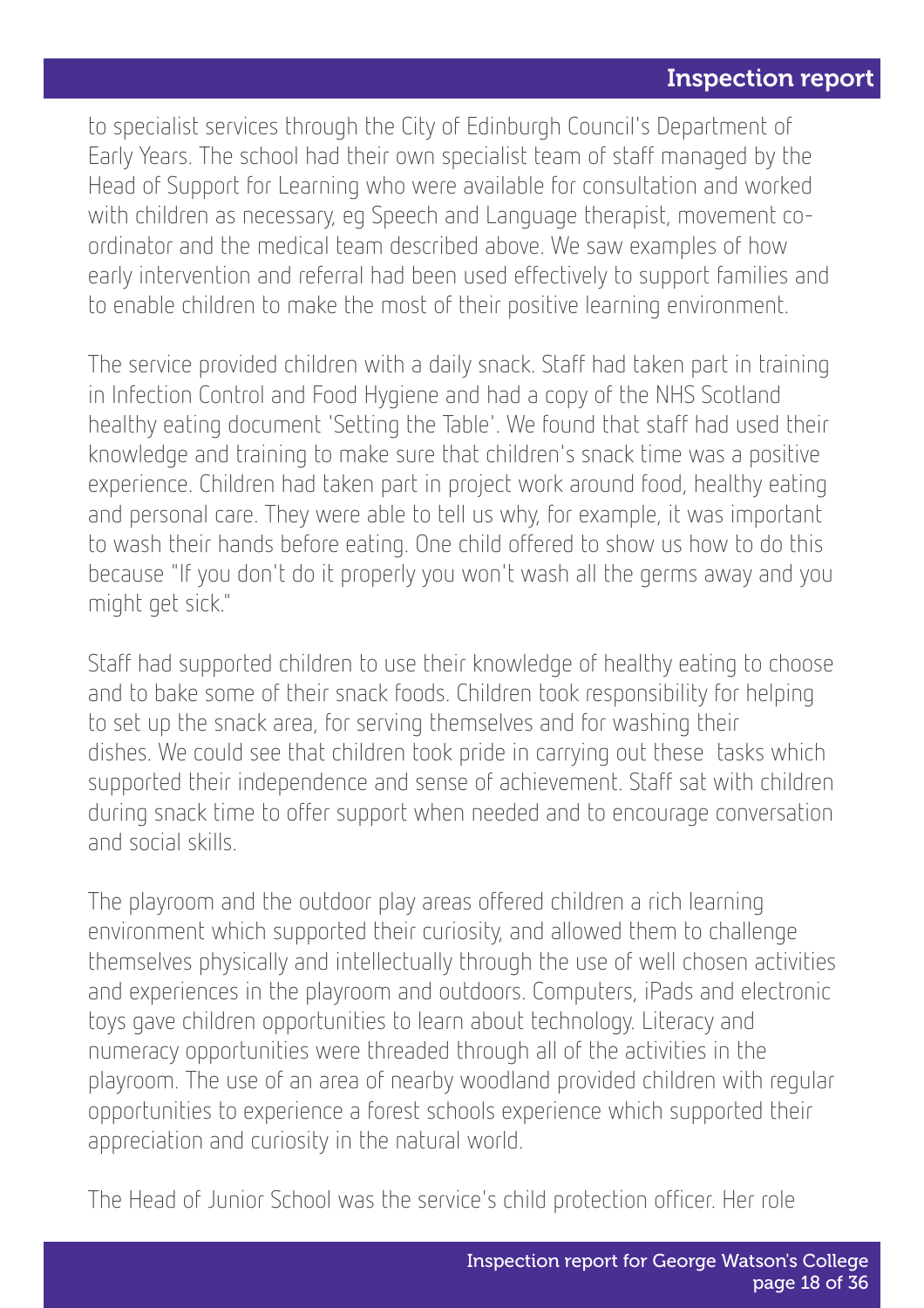to specialist services through the City of Edinburgh Council's Department of Early Years. The school had their own specialist team of staff managed by the Head of Support for Learning who were available for consultation and worked with children as necessary, eg Speech and Language therapist, movement coordinator and the medical team described above. We saw examples of how early intervention and referral had been used effectively to support families and to enable children to make the most of their positive learning environment.

The service provided children with a daily snack. Staff had taken part in training in Infection Control and Food Hygiene and had a copy of the NHS Scotland healthy eating document 'Setting the Table'. We found that staff had used their knowledge and training to make sure that children's snack time was a positive experience. Children had taken part in project work around food, healthy eating and personal care. They were able to tell us why, for example, it was important to wash their hands before eating. One child offered to show us how to do this because "If you don't do it properly you won't wash all the germs away and you might get sick."

Staff had supported children to use their knowledge of healthy eating to choose and to bake some of their snack foods. Children took responsibility for helping to set up the snack area, for serving themselves and for washing their dishes. We could see that children took pride in carrying out these tasks which supported their independence and sense of achievement. Staff sat with children during snack time to offer support when needed and to encourage conversation and social skills.

The playroom and the outdoor play areas offered children a rich learning environment which supported their curiosity, and allowed them to challenge themselves physically and intellectually through the use of well chosen activities and experiences in the playroom and outdoors. Computers, iPads and electronic toys gave children opportunities to learn about technology. Literacy and numeracy opportunities were threaded through all of the activities in the playroom. The use of an area of nearby woodland provided children with regular opportunities to experience a forest schools experience which supported their appreciation and curiosity in the natural world.

The Head of Junior School was the service's child protection officer. Her role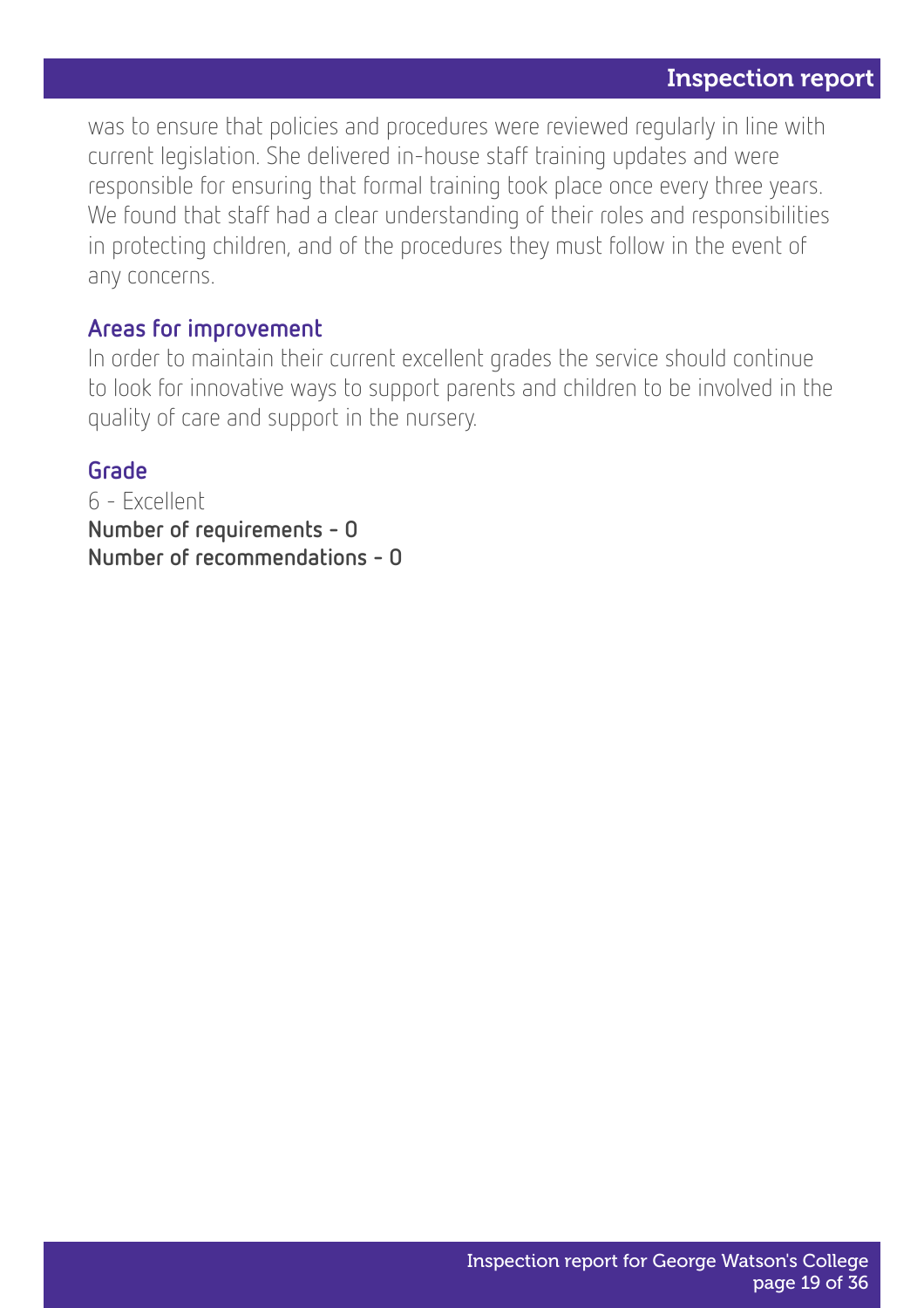was to ensure that policies and procedures were reviewed regularly in line with current legislation. She delivered in-house staff training updates and were responsible for ensuring that formal training took place once every three years. We found that staff had a clear understanding of their roles and responsibilities in protecting children, and of the procedures they must follow in the event of any concerns.

#### Areas for improvement

In order to maintain their current excellent grades the service should continue to look for innovative ways to support parents and children to be involved in the quality of care and support in the nursery.

#### Grade

6 - Excellent Number of requirements - 0 Number of recommendations - 0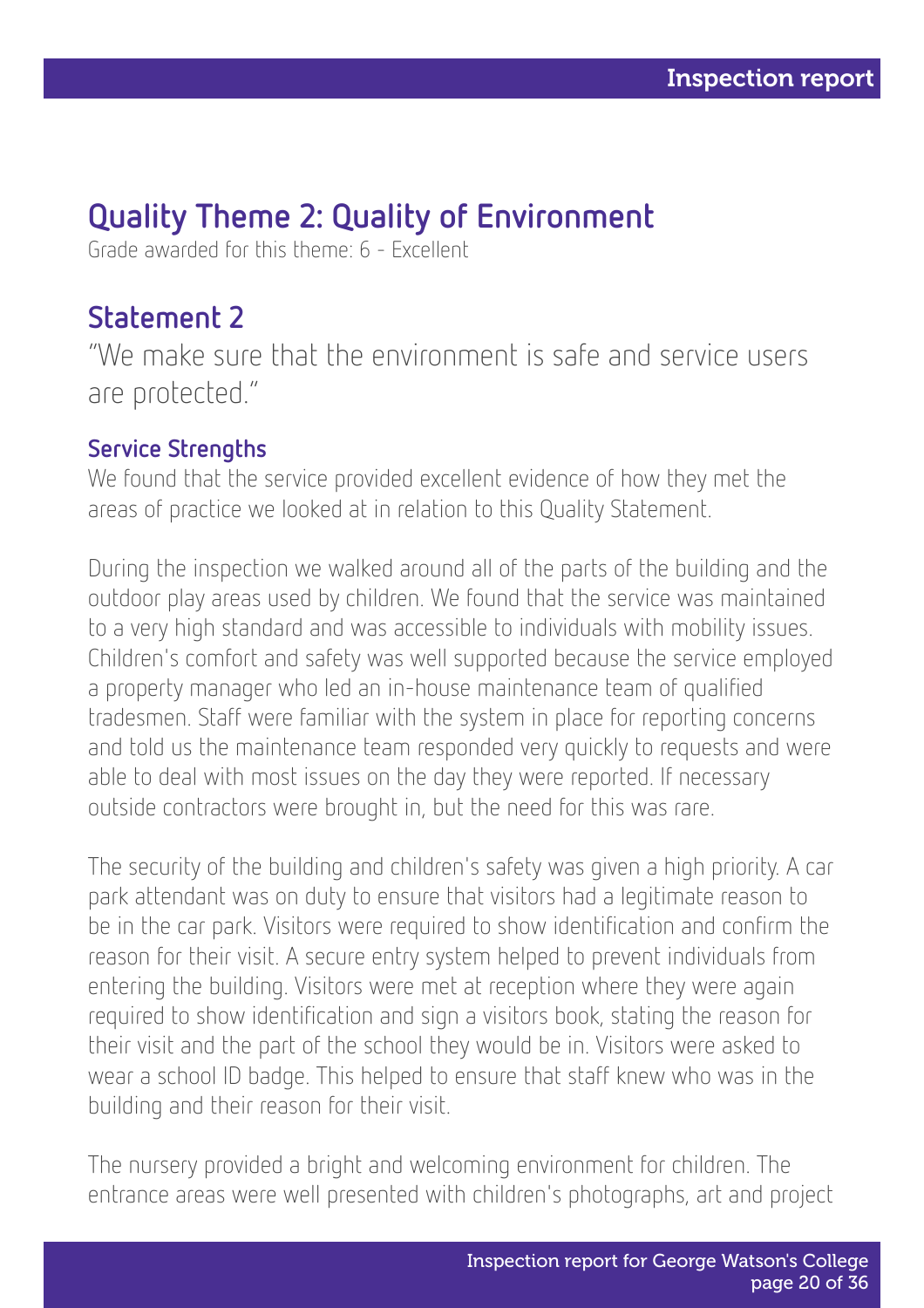### Quality Theme 2: Quality of Environment

Grade awarded for this theme: 6 - Excellent

### Statement 2

"We make sure that the environment is safe and service users are protected."

#### Service Strengths

We found that the service provided excellent evidence of how they met the areas of practice we looked at in relation to this Quality Statement.

During the inspection we walked around all of the parts of the building and the outdoor play areas used by children. We found that the service was maintained to a very high standard and was accessible to individuals with mobility issues. Children's comfort and safety was well supported because the service employed a property manager who led an in-house maintenance team of qualified tradesmen. Staff were familiar with the system in place for reporting concerns and told us the maintenance team responded very quickly to requests and were able to deal with most issues on the day they were reported. If necessary outside contractors were brought in, but the need for this was rare.

The security of the building and children's safety was given a high priority. A car park attendant was on duty to ensure that visitors had a legitimate reason to be in the car park. Visitors were required to show identification and confirm the reason for their visit. A secure entry system helped to prevent individuals from entering the building. Visitors were met at reception where they were again required to show identification and sign a visitors book, stating the reason for their visit and the part of the school they would be in. Visitors were asked to wear a school ID badge. This helped to ensure that staff knew who was in the building and their reason for their visit.

The nursery provided a bright and welcoming environment for children. The entrance areas were well presented with children's photographs, art and project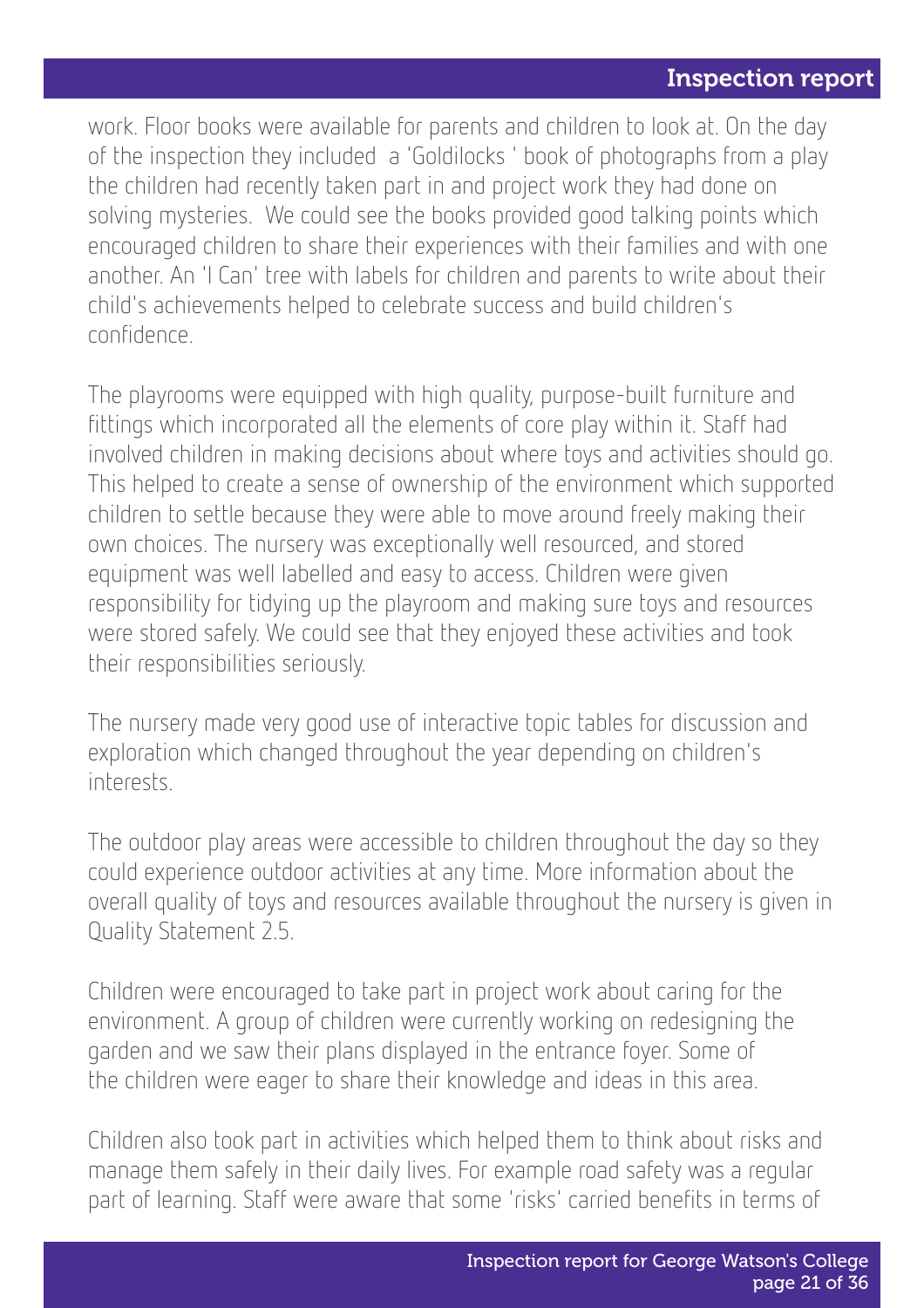work. Floor books were available for parents and children to look at. On the day of the inspection they included a 'Goldilocks ' book of photographs from a play the children had recently taken part in and project work they had done on solving mysteries. We could see the books provided good talking points which encouraged children to share their experiences with their families and with one another. An 'I Can' tree with labels for children and parents to write about their child's achievements helped to celebrate success and build children's confidence.

The playrooms were equipped with high quality, purpose-built furniture and fittings which incorporated all the elements of core play within it. Staff had involved children in making decisions about where toys and activities should go. This helped to create a sense of ownership of the environment which supported children to settle because they were able to move around freely making their own choices. The nursery was exceptionally well resourced, and stored equipment was well labelled and easy to access. Children were given responsibility for tidying up the playroom and making sure toys and resources were stored safely. We could see that they enjoyed these activities and took their responsibilities seriously.

The nursery made very good use of interactive topic tables for discussion and exploration which changed throughout the year depending on children's interests.

The outdoor play areas were accessible to children throughout the day so they could experience outdoor activities at any time. More information about the overall quality of toys and resources available throughout the nursery is given in Quality Statement 2.5.

Children were encouraged to take part in project work about caring for the environment. A group of children were currently working on redesigning the garden and we saw their plans displayed in the entrance foyer. Some of the children were eager to share their knowledge and ideas in this area.

Children also took part in activities which helped them to think about risks and manage them safely in their daily lives. For example road safety was a regular part of learning. Staff were aware that some 'risks' carried benefits in terms of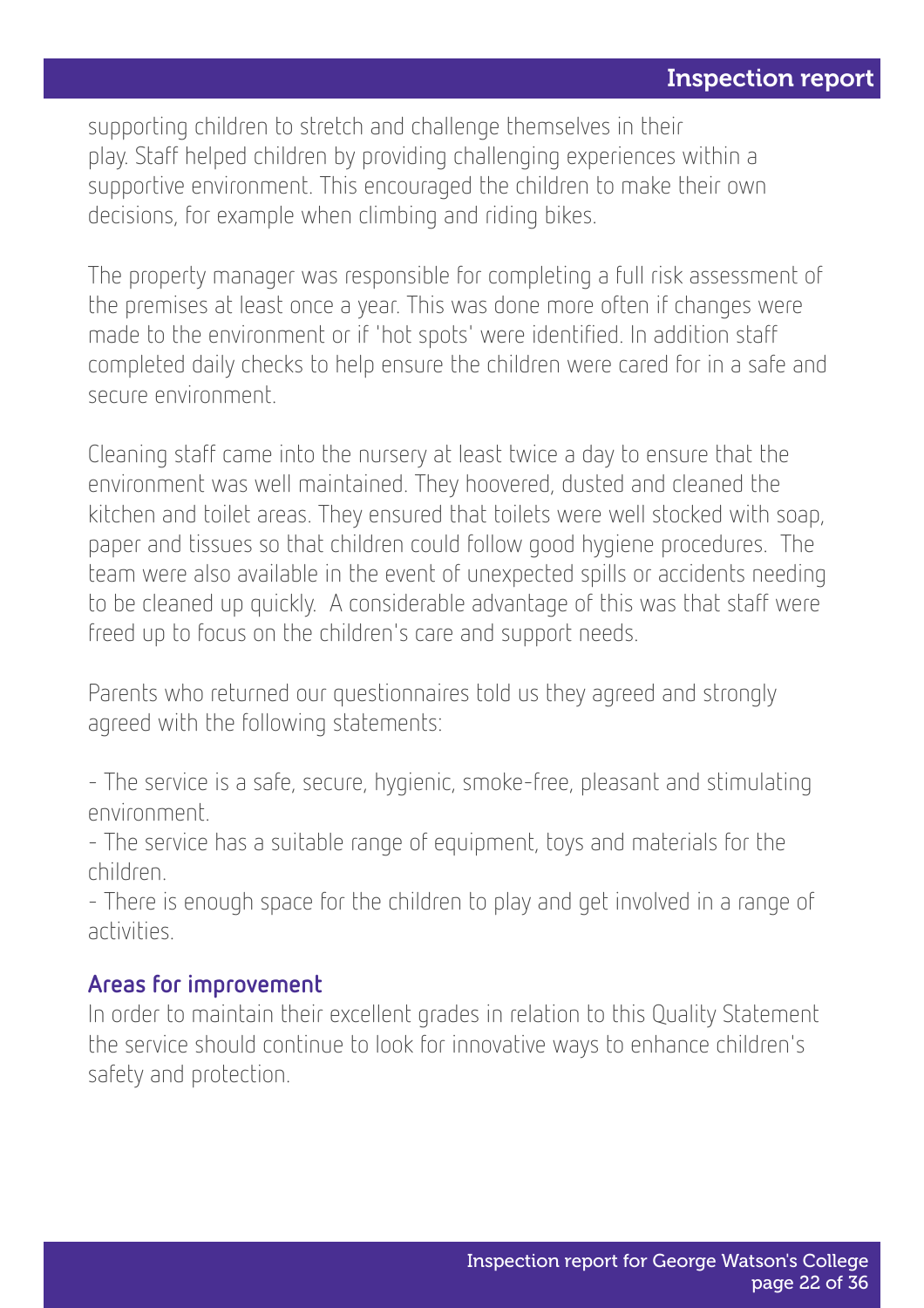supporting children to stretch and challenge themselves in their play. Staff helped children by providing challenging experiences within a supportive environment. This encouraged the children to make their own decisions, for example when climbing and riding bikes.

The property manager was responsible for completing a full risk assessment of the premises at least once a year. This was done more often if changes were made to the environment or if 'hot spots' were identified. In addition staff completed daily checks to help ensure the children were cared for in a safe and secure environment.

Cleaning staff came into the nursery at least twice a day to ensure that the environment was well maintained. They hoovered, dusted and cleaned the kitchen and toilet areas. They ensured that toilets were well stocked with soap, paper and tissues so that children could follow good hygiene procedures. The team were also available in the event of unexpected spills or accidents needing to be cleaned up quickly. A considerable advantage of this was that staff were freed up to focus on the children's care and support needs.

Parents who returned our questionnaires told us they agreed and strongly agreed with the following statements:

- The service is a safe, secure, hygienic, smoke-free, pleasant and stimulating environment.

- The service has a suitable range of equipment, toys and materials for the children.

- There is enough space for the children to play and get involved in a range of activities.

#### Areas for improvement

In order to maintain their excellent grades in relation to this Quality Statement the service should continue to look for innovative ways to enhance children's safety and protection.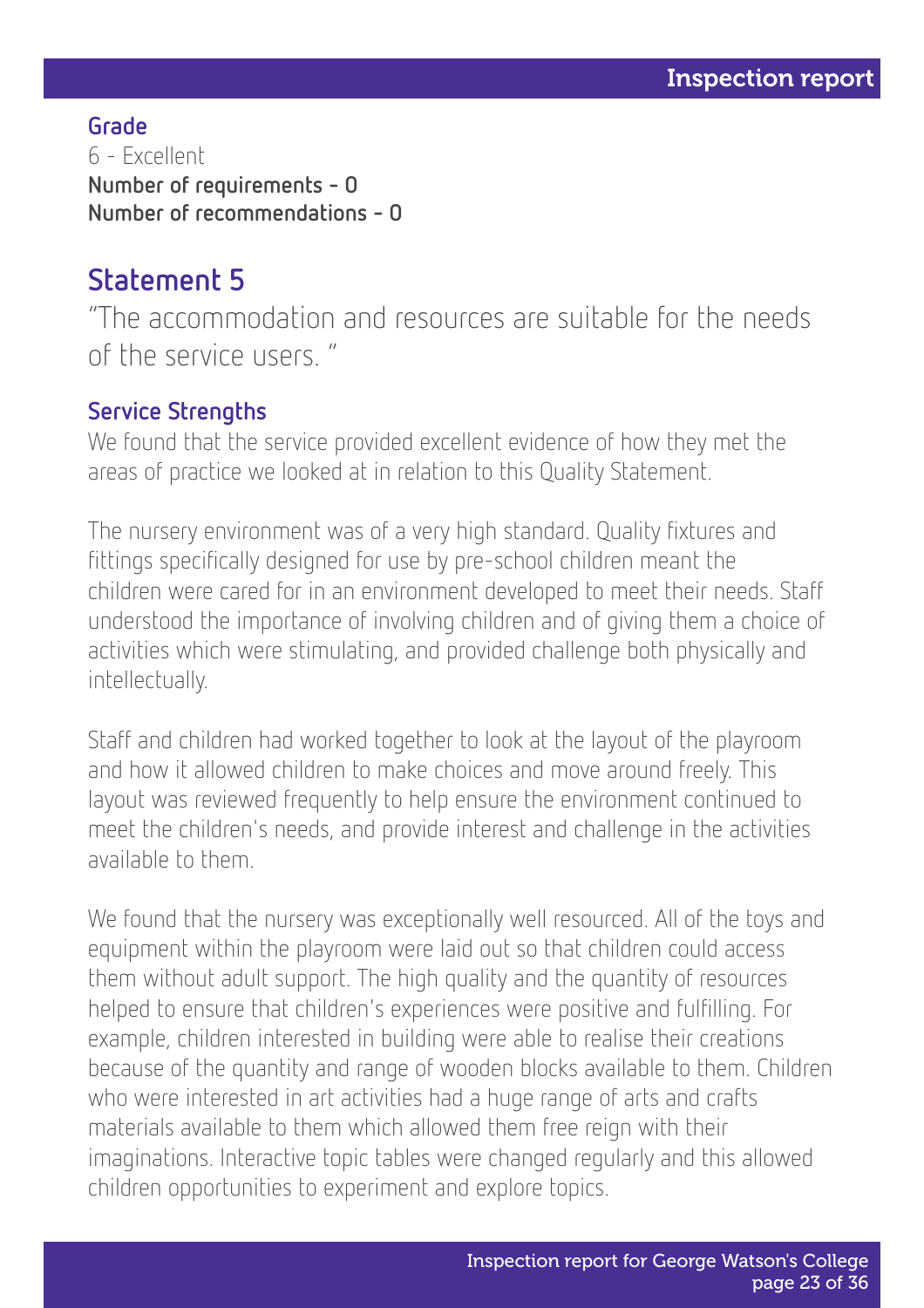Grade 6 - Excellent Number of requirements - 0 Number of recommendations - 0

### Statement 5

"The accommodation and resources are suitable for the needs of the service users. "

#### Service Strengths

We found that the service provided excellent evidence of how they met the areas of practice we looked at in relation to this Quality Statement.

The nursery environment was of a very high standard. Quality fixtures and fittings specifically designed for use by pre-school children meant the children were cared for in an environment developed to meet their needs. Staff understood the importance of involving children and of giving them a choice of activities which were stimulating, and provided challenge both physically and intellectually.

Staff and children had worked together to look at the layout of the playroom and how it allowed children to make choices and move around freely. This layout was reviewed frequently to help ensure the environment continued to meet the children's needs, and provide interest and challenge in the activities available to them.

We found that the nursery was exceptionally well resourced. All of the toys and equipment within the playroom were laid out so that children could access them without adult support. The high quality and the quantity of resources helped to ensure that children's experiences were positive and fulfilling. For example, children interested in building were able to realise their creations because of the quantity and range of wooden blocks available to them. Children who were interested in art activities had a huge range of arts and crafts materials available to them which allowed them free reign with their imaginations. Interactive topic tables were changed regularly and this allowed children opportunities to experiment and explore topics.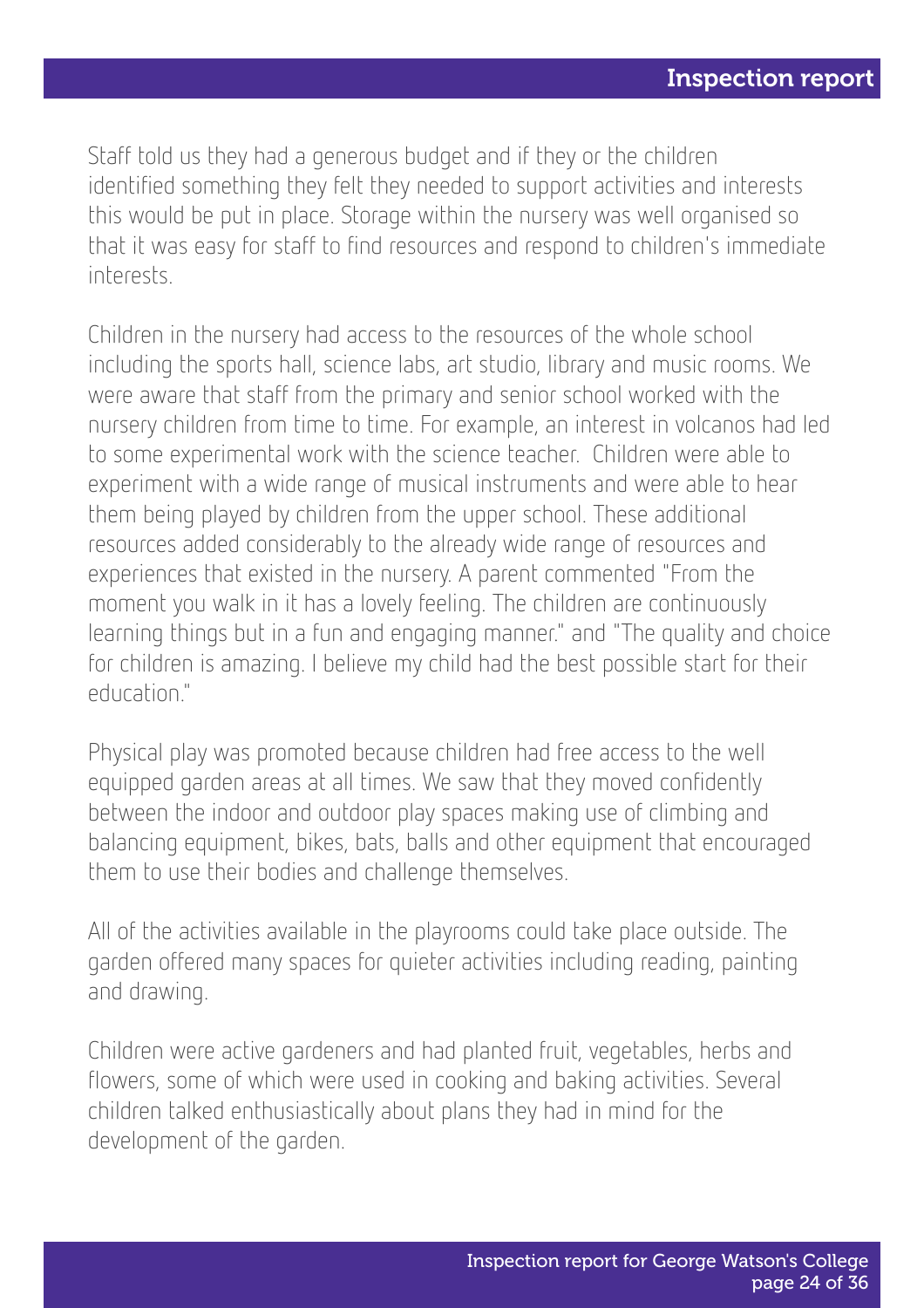Staff told us they had a generous budget and if they or the children identified something they felt they needed to support activities and interests this would be put in place. Storage within the nursery was well organised so that it was easy for staff to find resources and respond to children's immediate interests.

Children in the nursery had access to the resources of the whole school including the sports hall, science labs, art studio, library and music rooms. We were aware that staff from the primary and senior school worked with the nursery children from time to time. For example, an interest in volcanos had led to some experimental work with the science teacher. Children were able to experiment with a wide range of musical instruments and were able to hear them being played by children from the upper school. These additional resources added considerably to the already wide range of resources and experiences that existed in the nursery. A parent commented "From the moment you walk in it has a lovely feeling. The children are continuously learning things but in a fun and engaging manner." and "The quality and choice for children is amazing. I believe my child had the best possible start for their education."

Physical play was promoted because children had free access to the well equipped garden areas at all times. We saw that they moved confidently between the indoor and outdoor play spaces making use of climbing and balancing equipment, bikes, bats, balls and other equipment that encouraged them to use their bodies and challenge themselves.

All of the activities available in the playrooms could take place outside. The garden offered many spaces for quieter activities including reading, painting and drawing.

Children were active gardeners and had planted fruit, vegetables, herbs and flowers, some of which were used in cooking and baking activities. Several children talked enthusiastically about plans they had in mind for the development of the garden.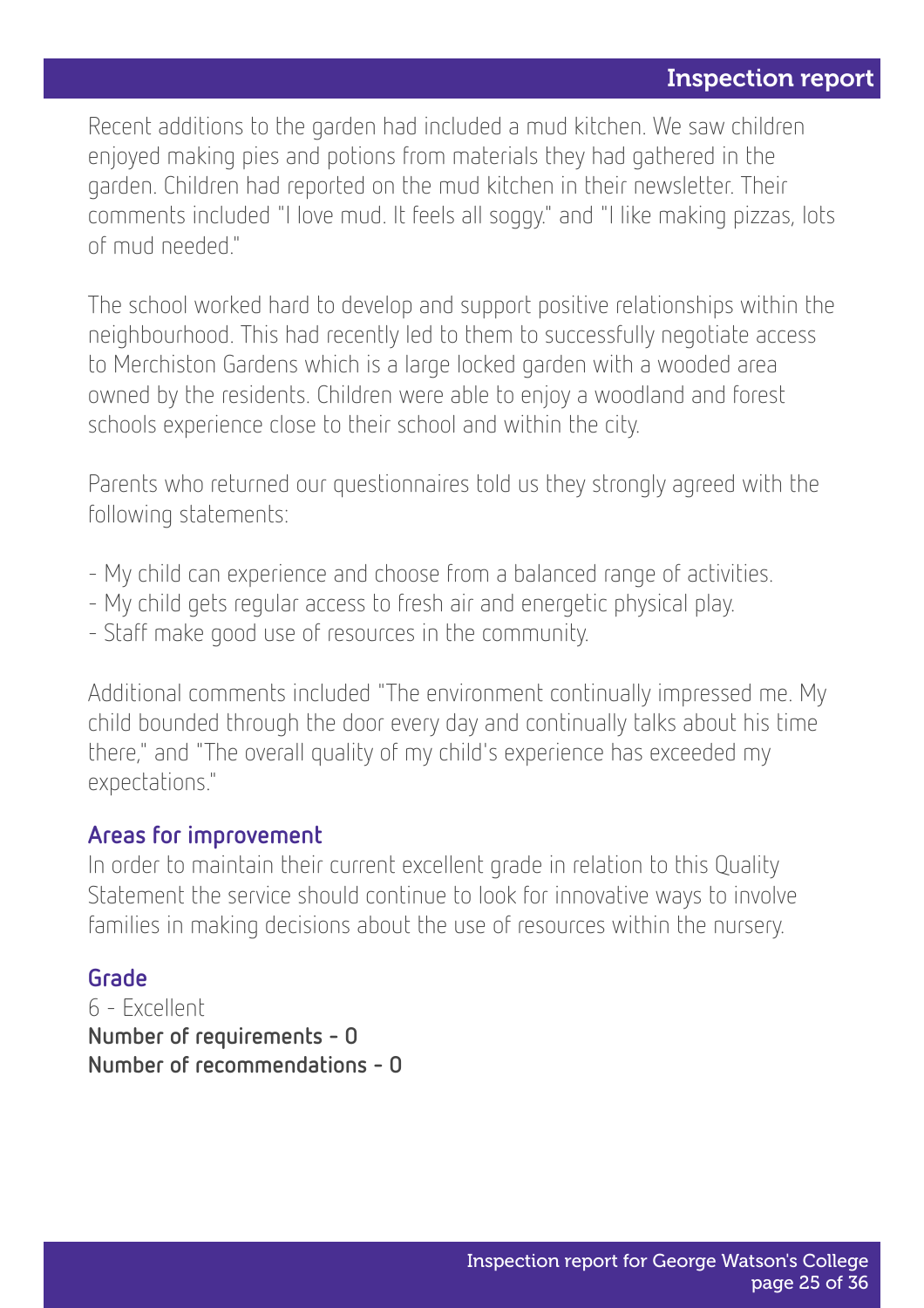Recent additions to the garden had included a mud kitchen. We saw children enjoyed making pies and potions from materials they had gathered in the garden. Children had reported on the mud kitchen in their newsletter. Their comments included "I love mud. It feels all soggy." and "I like making pizzas, lots of mud needed."

The school worked hard to develop and support positive relationships within the neighbourhood. This had recently led to them to successfully negotiate access to Merchiston Gardens which is a large locked garden with a wooded area owned by the residents. Children were able to enjoy a woodland and forest schools experience close to their school and within the city.

Parents who returned our questionnaires told us they strongly agreed with the following statements:

- My child can experience and choose from a balanced range of activities.
- My child gets regular access to fresh air and energetic physical play.
- Staff make good use of resources in the community.

Additional comments included "The environment continually impressed me. My child bounded through the door every day and continually talks about his time there," and "The overall quality of my child's experience has exceeded my expectations."

#### Areas for improvement

In order to maintain their current excellent grade in relation to this Quality Statement the service should continue to look for innovative ways to involve families in making decisions about the use of resources within the nursery.

#### Grade

6 - Excellent Number of requirements - 0 Number of recommendations - 0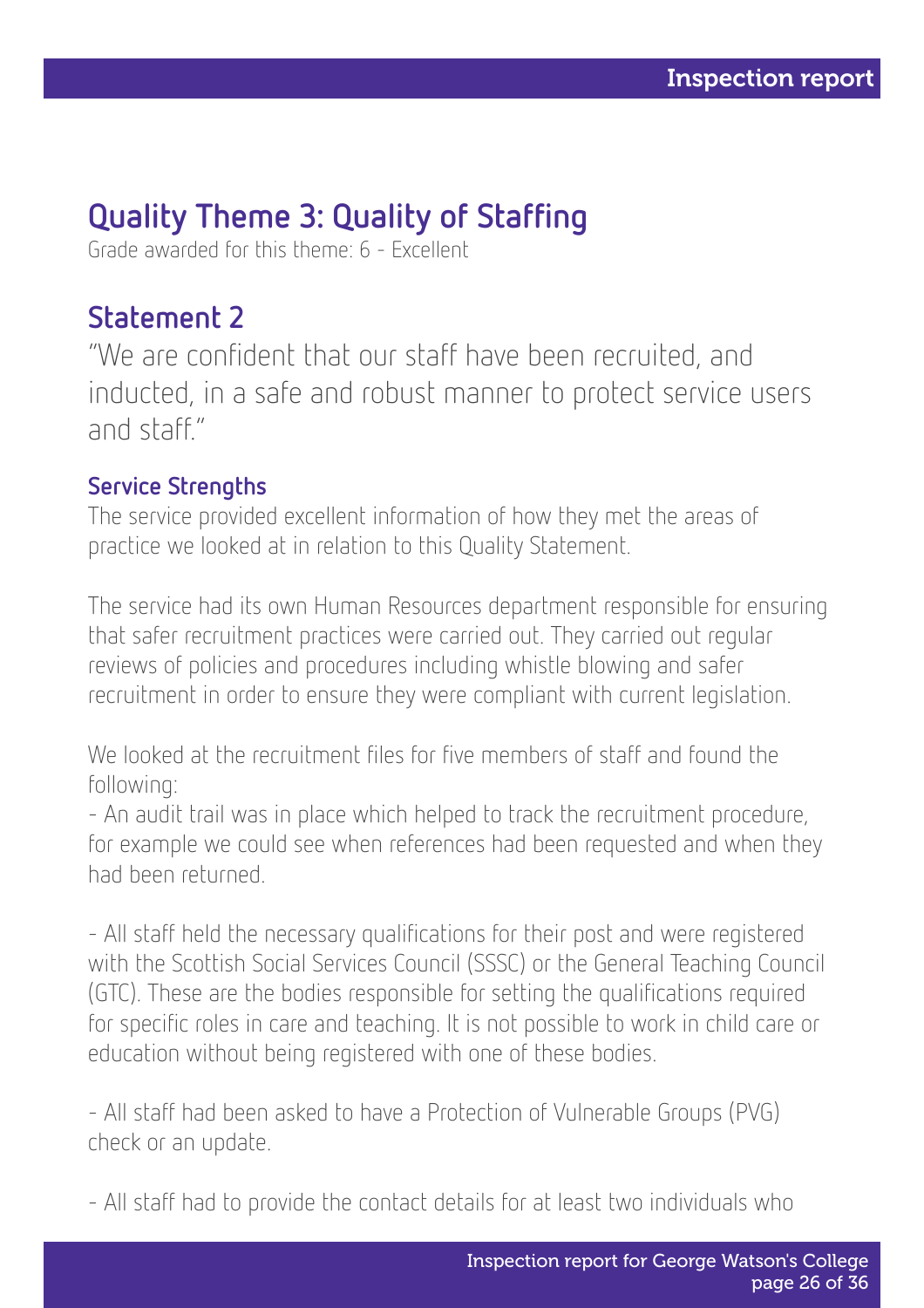### Quality Theme 3: Quality of Staffing

Grade awarded for this theme: 6 - Excellent

### Statement 2

"We are confident that our staff have been recruited, and inducted, in a safe and robust manner to protect service users and staff."

#### Service Strengths

The service provided excellent information of how they met the areas of practice we looked at in relation to this Quality Statement.

The service had its own Human Resources department responsible for ensuring that safer recruitment practices were carried out. They carried out regular reviews of policies and procedures including whistle blowing and safer recruitment in order to ensure they were compliant with current legislation.

We looked at the recruitment files for five members of staff and found the following:

- An audit trail was in place which helped to track the recruitment procedure, for example we could see when references had been requested and when they had been returned.

- All staff held the necessary qualifications for their post and were registered with the Scottish Social Services Council (SSSC) or the General Teaching Council (GTC). These are the bodies responsible for setting the qualifications required for specific roles in care and teaching. It is not possible to work in child care or education without being registered with one of these bodies.

- All staff had been asked to have a Protection of Vulnerable Groups (PVG) check or an update.

- All staff had to provide the contact details for at least two individuals who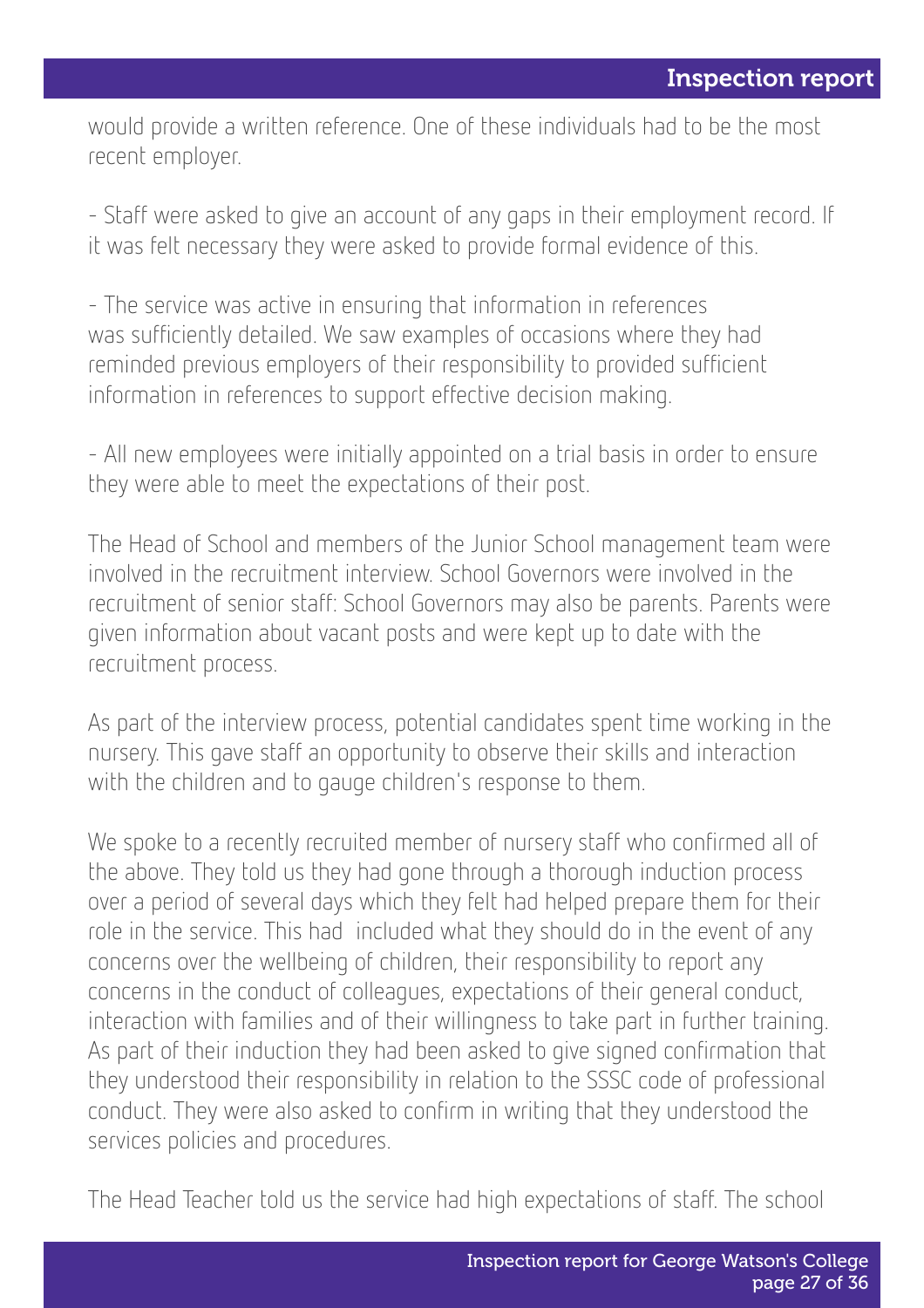would provide a written reference. One of these individuals had to be the most recent employer.

- Staff were asked to give an account of any gaps in their employment record. If it was felt necessary they were asked to provide formal evidence of this.

- The service was active in ensuring that information in references was sufficiently detailed. We saw examples of occasions where they had reminded previous employers of their responsibility to provided sufficient information in references to support effective decision making.

- All new employees were initially appointed on a trial basis in order to ensure they were able to meet the expectations of their post.

The Head of School and members of the Junior School management team were involved in the recruitment interview. School Governors were involved in the recruitment of senior staff: School Governors may also be parents. Parents were given information about vacant posts and were kept up to date with the recruitment process.

As part of the interview process, potential candidates spent time working in the nursery. This gave staff an opportunity to observe their skills and interaction with the children and to gauge children's response to them.

We spoke to a recently recruited member of nursery staff who confirmed all of the above. They told us they had gone through a thorough induction process over a period of several days which they felt had helped prepare them for their role in the service. This had included what they should do in the event of any concerns over the wellbeing of children, their responsibility to report any concerns in the conduct of colleagues, expectations of their general conduct, interaction with families and of their willingness to take part in further training. As part of their induction they had been asked to give signed confirmation that they understood their responsibility in relation to the SSSC code of professional conduct. They were also asked to confirm in writing that they understood the services policies and procedures.

The Head Teacher told us the service had high expectations of staff. The school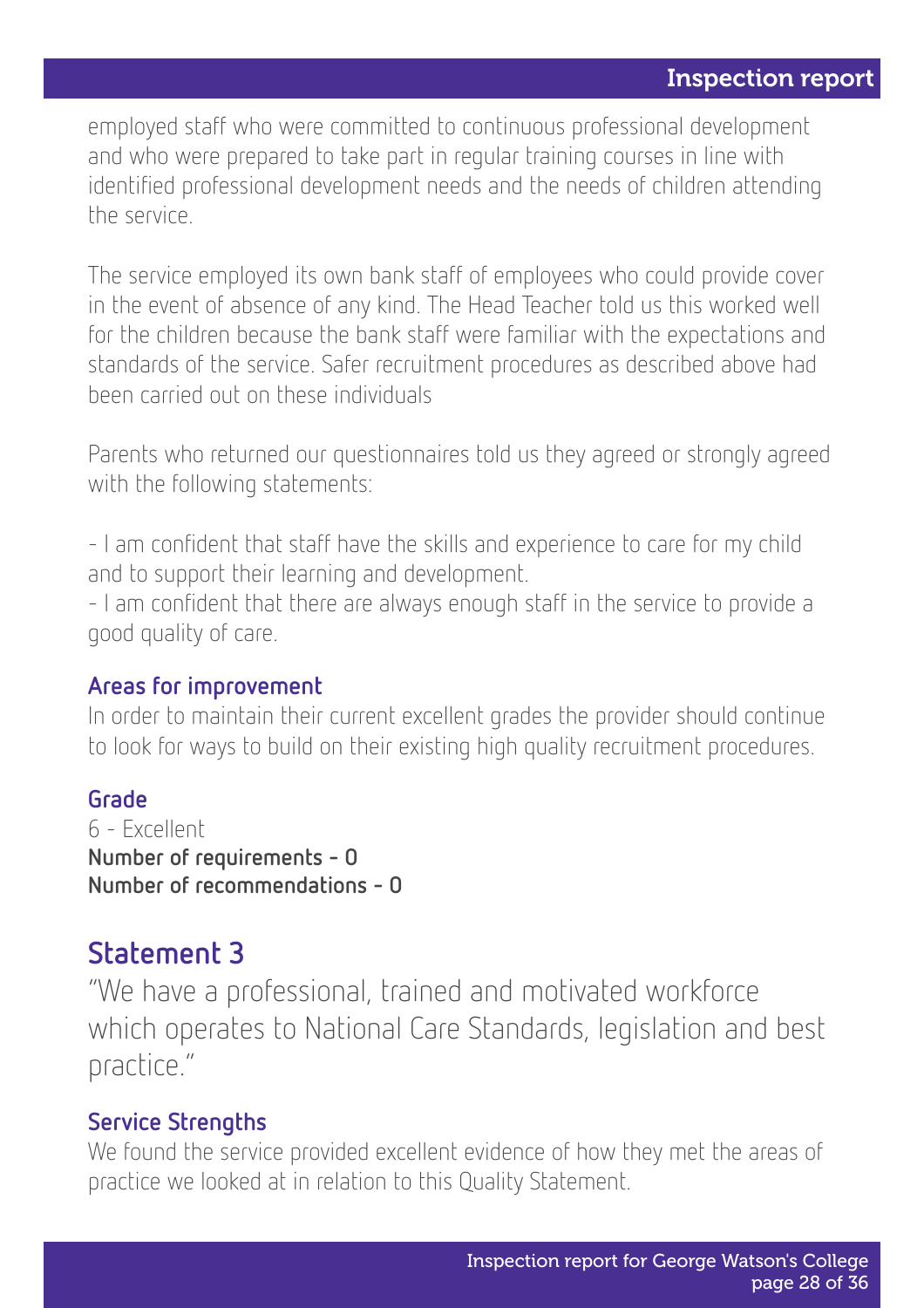employed staff who were committed to continuous professional development and who were prepared to take part in regular training courses in line with identified professional development needs and the needs of children attending the service.

The service employed its own bank staff of employees who could provide cover in the event of absence of any kind. The Head Teacher told us this worked well for the children because the bank staff were familiar with the expectations and standards of the service. Safer recruitment procedures as described above had been carried out on these individuals

Parents who returned our questionnaires told us they agreed or strongly agreed with the following statements:

- I am confident that staff have the skills and experience to care for my child and to support their learning and development.

- I am confident that there are always enough staff in the service to provide a good quality of care.

#### Areas for improvement

In order to maintain their current excellent grades the provider should continue to look for ways to build on their existing high quality recruitment procedures.

#### Grade

6 - Excellent Number of requirements - 0 Number of recommendations - 0

### Statement 3

"We have a professional, trained and motivated workforce which operates to National Care Standards, legislation and best practice."

#### Service Strengths

We found the service provided excellent evidence of how they met the areas of practice we looked at in relation to this Quality Statement.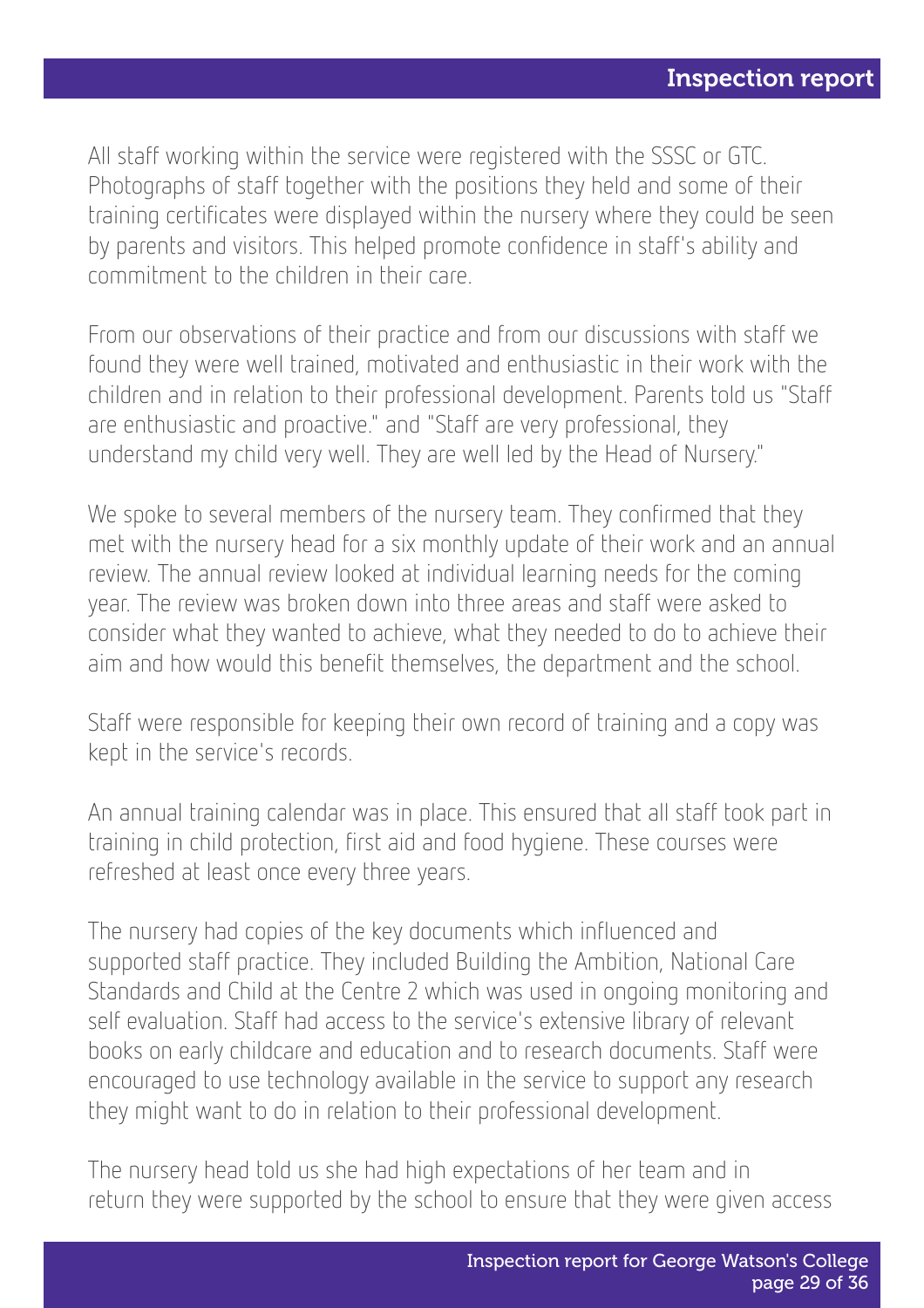All staff working within the service were registered with the SSSC or GTC. Photographs of staff together with the positions they held and some of their training certificates were displayed within the nursery where they could be seen by parents and visitors. This helped promote confidence in staff's ability and commitment to the children in their care.

From our observations of their practice and from our discussions with staff we found they were well trained, motivated and enthusiastic in their work with the children and in relation to their professional development. Parents told us "Staff are enthusiastic and proactive." and "Staff are very professional, they understand my child very well. They are well led by the Head of Nursery."

We spoke to several members of the nursery team. They confirmed that they met with the nursery head for a six monthly update of their work and an annual review. The annual review looked at individual learning needs for the coming year. The review was broken down into three areas and staff were asked to consider what they wanted to achieve, what they needed to do to achieve their aim and how would this benefit themselves, the department and the school.

Staff were responsible for keeping their own record of training and a copy was kept in the service's records.

An annual training calendar was in place. This ensured that all staff took part in training in child protection, first aid and food hygiene. These courses were refreshed at least once every three years.

The nursery had copies of the key documents which influenced and supported staff practice. They included Building the Ambition, National Care Standards and Child at the Centre 2 which was used in ongoing monitoring and self evaluation. Staff had access to the service's extensive library of relevant books on early childcare and education and to research documents. Staff were encouraged to use technology available in the service to support any research they might want to do in relation to their professional development.

The nursery head told us she had high expectations of her team and in return they were supported by the school to ensure that they were given access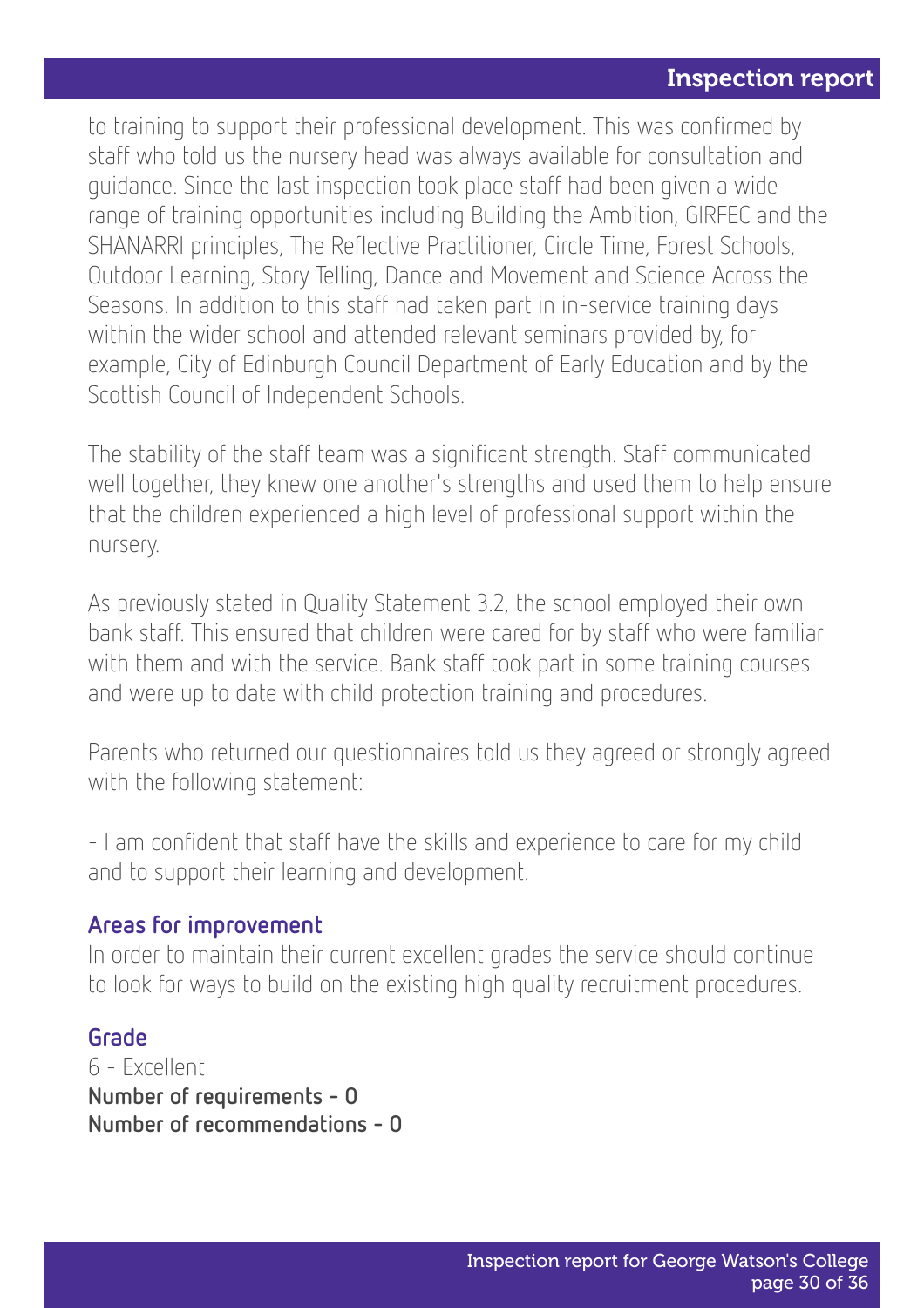to training to support their professional development. This was confirmed by staff who told us the nursery head was always available for consultation and guidance. Since the last inspection took place staff had been given a wide range of training opportunities including Building the Ambition, GIRFEC and the SHANARRI principles, The Reflective Practitioner, Circle Time, Forest Schools, Outdoor Learning, Story Telling, Dance and Movement and Science Across the Seasons. In addition to this staff had taken part in in-service training days within the wider school and attended relevant seminars provided by, for example, City of Edinburgh Council Department of Early Education and by the Scottish Council of Independent Schools.

The stability of the staff team was a significant strength. Staff communicated well together, they knew one another's strengths and used them to help ensure that the children experienced a high level of professional support within the nursery.

As previously stated in Quality Statement 3.2, the school employed their own bank staff. This ensured that children were cared for by staff who were familiar with them and with the service. Bank staff took part in some training courses and were up to date with child protection training and procedures.

Parents who returned our questionnaires told us they agreed or strongly agreed with the following statement:

- I am confident that staff have the skills and experience to care for my child and to support their learning and development.

#### Areas for improvement

In order to maintain their current excellent grades the service should continue to look for ways to build on the existing high quality recruitment procedures.

#### Grade

6 - Excellent Number of requirements - 0 Number of recommendations - 0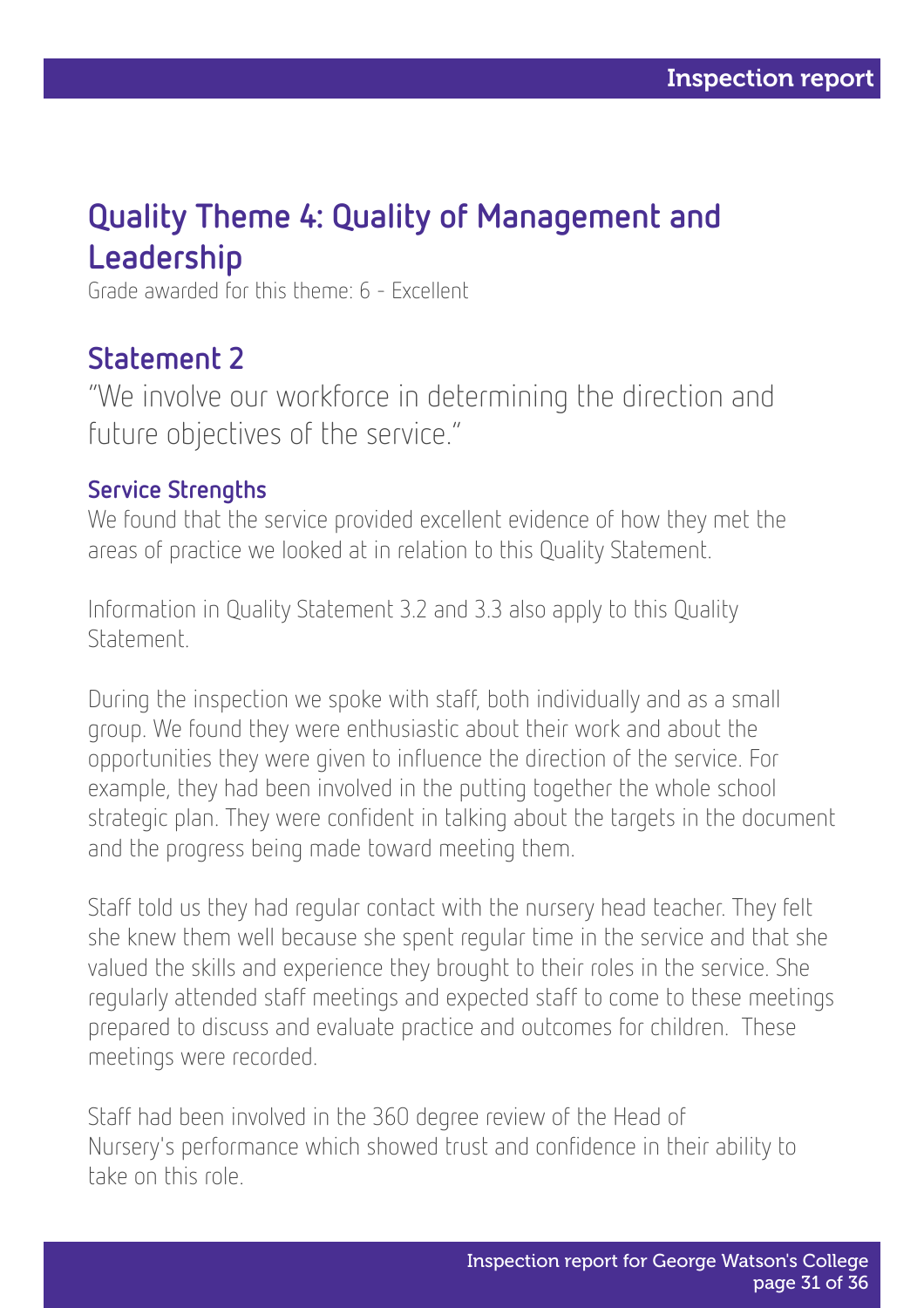### Quality Theme 4: Quality of Management and Leadership

Grade awarded for this theme: 6 - Excellent

### Statement 2

"We involve our workforce in determining the direction and future objectives of the service."

#### Service Strengths

We found that the service provided excellent evidence of how they met the areas of practice we looked at in relation to this Quality Statement.

Information in Quality Statement 3.2 and 3.3 also apply to this Quality Statement.

During the inspection we spoke with staff, both individually and as a small group. We found they were enthusiastic about their work and about the opportunities they were given to influence the direction of the service. For example, they had been involved in the putting together the whole school strategic plan. They were confident in talking about the targets in the document and the progress being made toward meeting them.

Staff told us they had regular contact with the nursery head teacher. They felt she knew them well because she spent regular time in the service and that she valued the skills and experience they brought to their roles in the service. She regularly attended staff meetings and expected staff to come to these meetings prepared to discuss and evaluate practice and outcomes for children. These meetings were recorded.

Staff had been involved in the 360 degree review of the Head of Nursery's performance which showed trust and confidence in their ability to take on this role.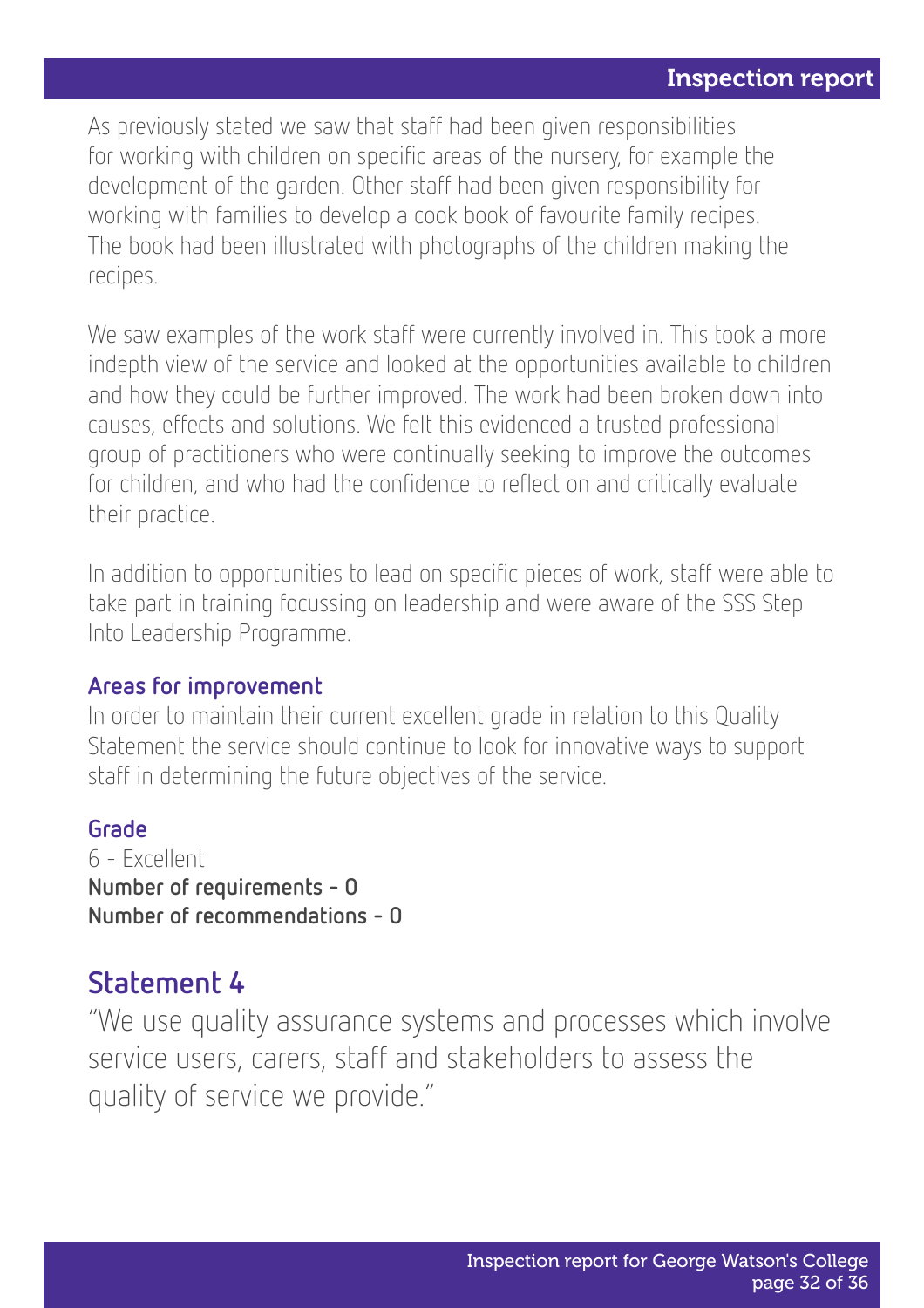As previously stated we saw that staff had been given responsibilities for working with children on specific areas of the nursery, for example the development of the garden. Other staff had been given responsibility for working with families to develop a cook book of favourite family recipes. The book had been illustrated with photographs of the children making the recipes.

We saw examples of the work staff were currently involved in. This took a more indepth view of the service and looked at the opportunities available to children and how they could be further improved. The work had been broken down into causes, effects and solutions. We felt this evidenced a trusted professional group of practitioners who were continually seeking to improve the outcomes for children, and who had the confidence to reflect on and critically evaluate their practice.

In addition to opportunities to lead on specific pieces of work, staff were able to take part in training focussing on leadership and were aware of the SSS Step Into Leadership Programme.

#### Areas for improvement

In order to maintain their current excellent grade in relation to this Quality Statement the service should continue to look for innovative ways to support staff in determining the future objectives of the service.

#### Grade

6 - Excellent Number of requirements - 0 Number of recommendations - 0

### Statement 4

"We use quality assurance systems and processes which involve service users, carers, staff and stakeholders to assess the quality of service we provide."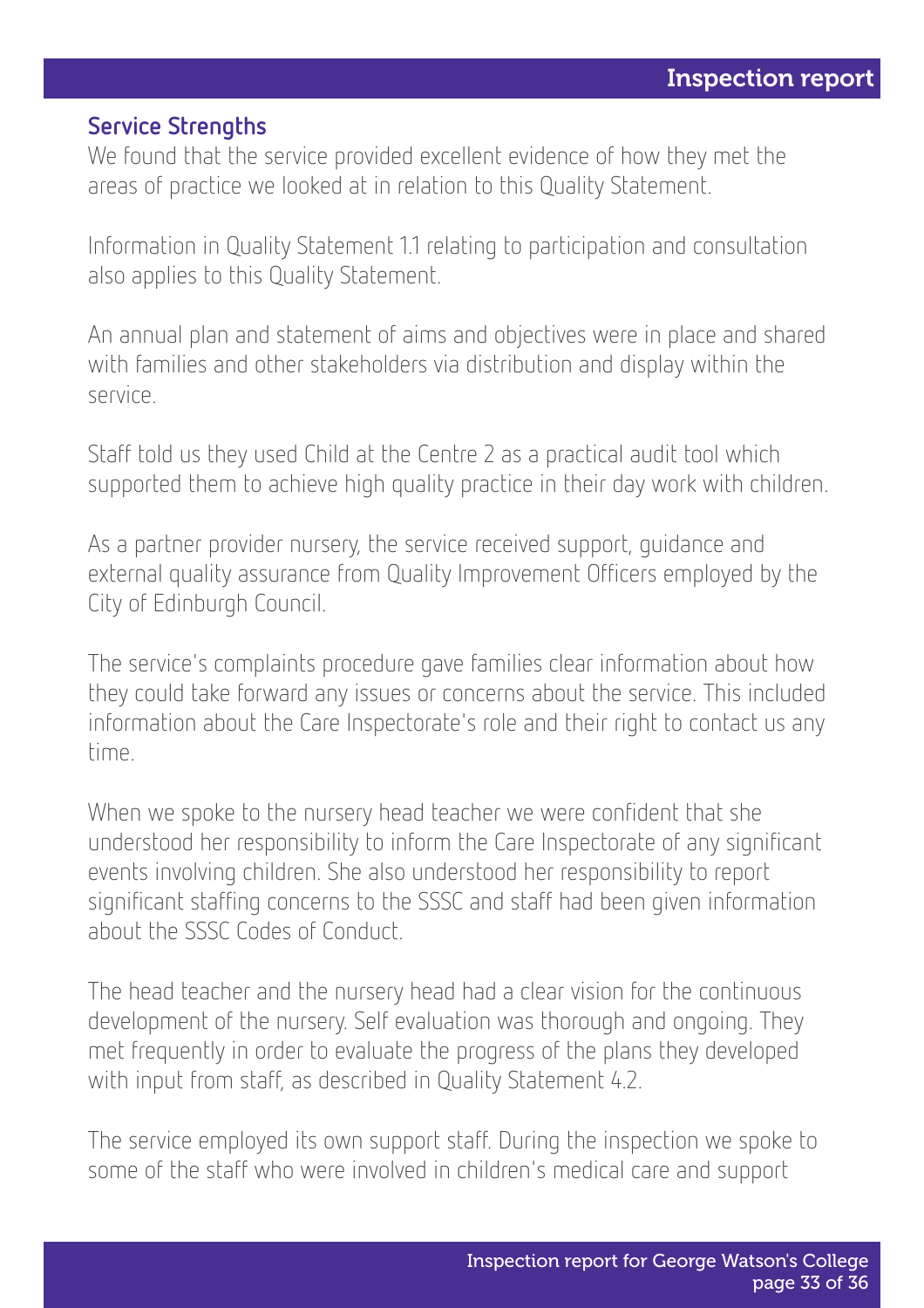#### Service Strengths

We found that the service provided excellent evidence of how they met the areas of practice we looked at in relation to this Quality Statement.

Information in Quality Statement 1.1 relating to participation and consultation also applies to this Quality Statement.

An annual plan and statement of aims and objectives were in place and shared with families and other stakeholders via distribution and display within the service.

Staff told us they used Child at the Centre 2 as a practical audit tool which supported them to achieve high quality practice in their day work with children.

As a partner provider nursery, the service received support, guidance and external quality assurance from Quality Improvement Officers employed by the City of Edinburgh Council.

The service's complaints procedure gave families clear information about how they could take forward any issues or concerns about the service. This included information about the Care Inspectorate's role and their right to contact us any time.

When we spoke to the nursery head teacher we were confident that she understood her responsibility to inform the Care Inspectorate of any significant events involving children. She also understood her responsibility to report significant staffing concerns to the SSSC and staff had been given information about the SSSC Codes of Conduct.

The head teacher and the nursery head had a clear vision for the continuous development of the nursery. Self evaluation was thorough and ongoing. They met frequently in order to evaluate the progress of the plans they developed with input from staff, as described in Quality Statement 4.2.

The service employed its own support staff. During the inspection we spoke to some of the staff who were involved in children's medical care and support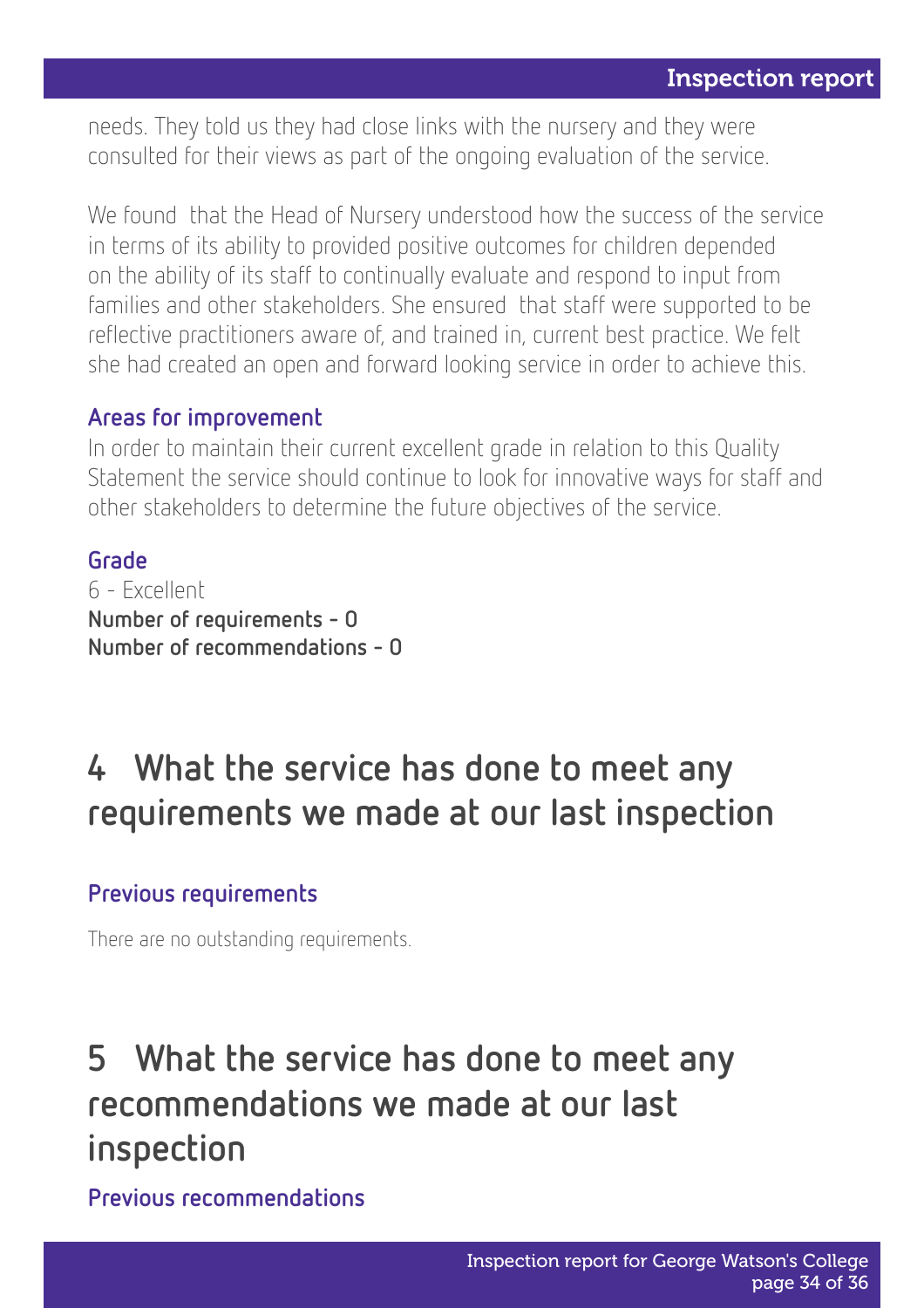needs. They told us they had close links with the nursery and they were consulted for their views as part of the ongoing evaluation of the service.

We found that the Head of Nursery understood how the success of the service in terms of its ability to provided positive outcomes for children depended on the ability of its staff to continually evaluate and respond to input from families and other stakeholders. She ensured that staff were supported to be reflective practitioners aware of, and trained in, current best practice. We felt she had created an open and forward looking service in order to achieve this.

#### Areas for improvement

In order to maintain their current excellent grade in relation to this Quality Statement the service should continue to look for innovative ways for staff and other stakeholders to determine the future objectives of the service.

#### Grade

6 - Excellent Number of requirements - 0 Number of recommendations - 0

# 4 What the service has done to meet any requirements we made at our last inspection

#### Previous requirements

There are no outstanding requirements.

# 5 What the service has done to meet any recommendations we made at our last inspection

Previous recommendations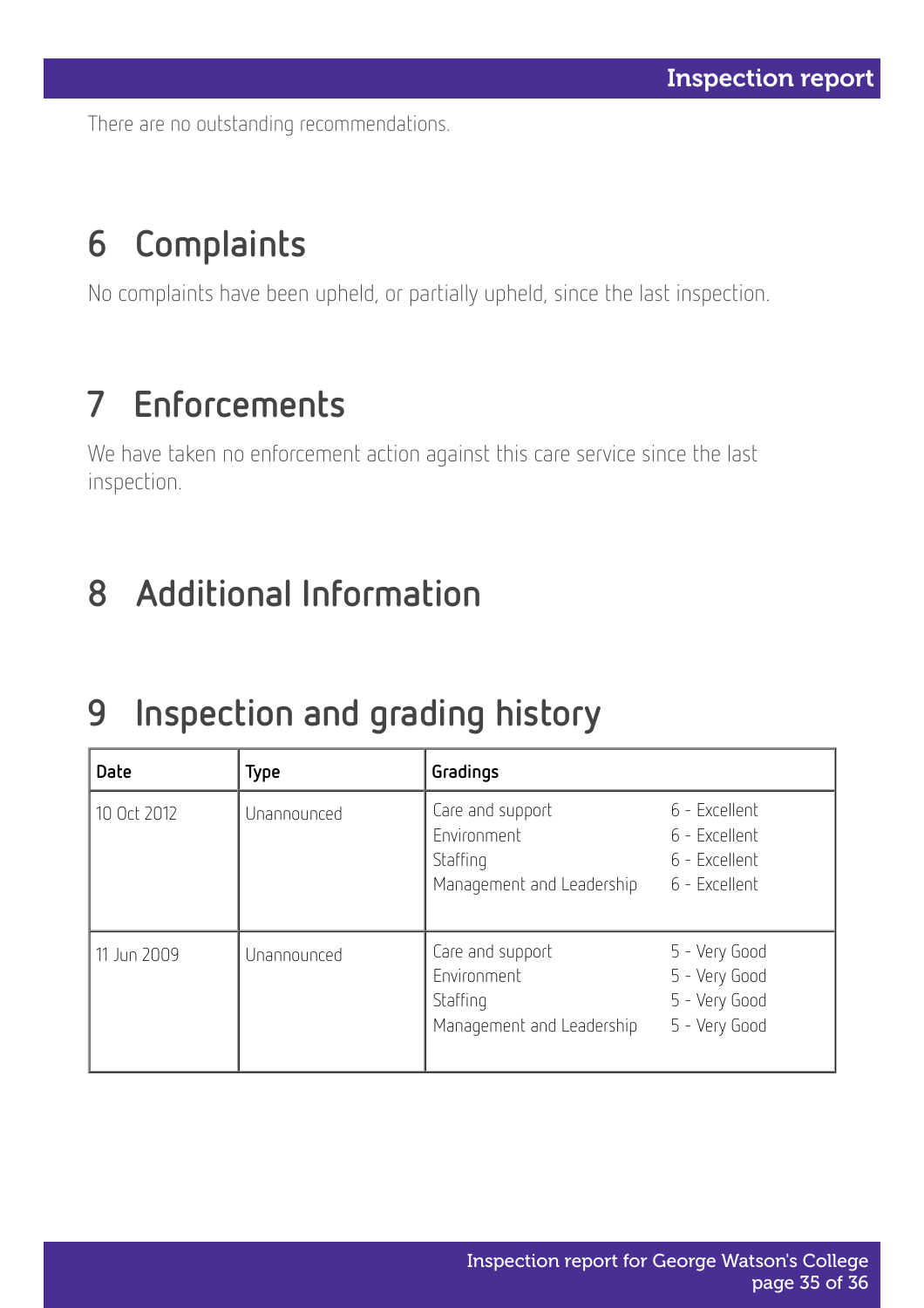There are no outstanding recommendations.

# 6 Complaints

No complaints have been upheld, or partially upheld, since the last inspection.

# 7 Enforcements

We have taken no enforcement action against this care service since the last inspection.

# 8 Additional Information

# 9 Inspection and grading history

| Date        | <b>Type</b> | Gradings                                                                 |                                                                  |
|-------------|-------------|--------------------------------------------------------------------------|------------------------------------------------------------------|
| 10 Oct 2012 | Unannounced | Care and support<br>Environment<br>Staffing<br>Management and Leadership | 6 - Excellent<br>6 - Excellent<br>6 - Excellent<br>6 - Excellent |
| 11 Jun 2009 | Unannounced | Care and support<br>Environment<br>Staffing<br>Management and Leadership | 5 - Very Good<br>5 - Very Good<br>5 - Very Good<br>5 - Very Good |